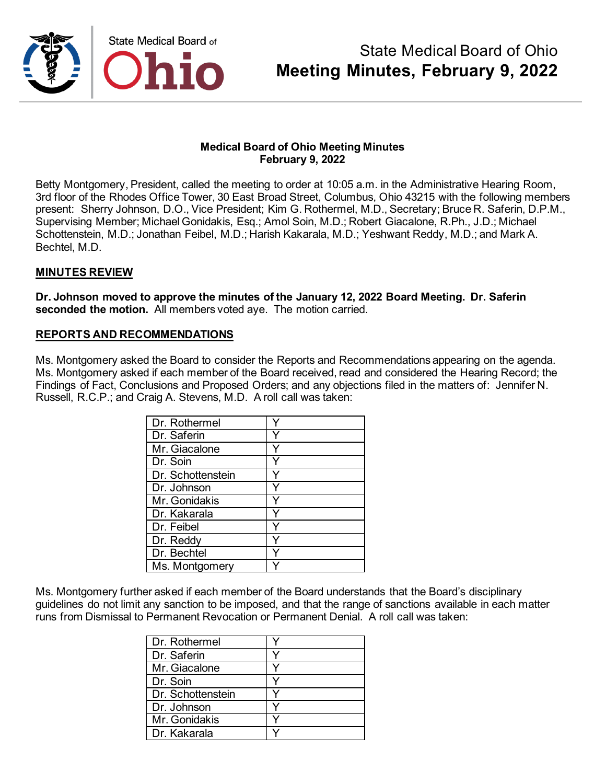

Betty Montgomery, President, called the meeting to order at 10:05 a.m. in the Administrative Hearing Room, 3rd floor of the Rhodes Office Tower, 30 East Broad Street, Columbus, Ohio 43215 with the following members present: Sherry Johnson, D.O., Vice President; Kim G. Rothermel, M.D., Secretary; Bruce R. Saferin, D.P.M., Supervising Member; Michael Gonidakis, Esq.; Amol Soin, M.D.; Robert Giacalone, R.Ph., J.D.; Michael Schottenstein, M.D.; Jonathan Feibel, M.D.; Harish Kakarala, M.D.; Yeshwant Reddy, M.D.; and Mark A. Bechtel, M.D.

#### **MINUTES REVIEW**

**Dr. Johnson moved to approve the minutes of the January 12, 2022 Board Meeting. Dr. Saferin seconded the motion.** All members voted aye. The motion carried.

#### **REPORTS AND RECOMMENDATIONS**

Ms. Montgomery asked the Board to consider the Reports and Recommendations appearing on the agenda. Ms. Montgomery asked if each member of the Board received, read and considered the Hearing Record; the Findings of Fact, Conclusions and Proposed Orders; and any objections filed in the matters of: Jennifer N. Russell, R.C.P.; and Craig A. Stevens, M.D. A roll call was taken:

| Dr. Rothermel     |  |
|-------------------|--|
| Dr. Saferin       |  |
| Mr. Giacalone     |  |
| Dr. Soin          |  |
| Dr. Schottenstein |  |
| Dr. Johnson       |  |
| Mr. Gonidakis     |  |
| Dr. Kakarala      |  |
| Dr. Feibel        |  |
| Dr. Reddy         |  |
| Dr. Bechtel       |  |
| Ms. Montgomery    |  |

Ms. Montgomery further asked if each member of the Board understands that the Board's disciplinary guidelines do not limit any sanction to be imposed, and that the range of sanctions available in each matter runs from Dismissal to Permanent Revocation or Permanent Denial. A roll call was taken:

| Dr. Rothermel     |  |
|-------------------|--|
| Dr. Saferin       |  |
| Mr. Giacalone     |  |
| Dr. Soin          |  |
| Dr. Schottenstein |  |
| Dr. Johnson       |  |
| Mr. Gonidakis     |  |
| Dr. Kakarala      |  |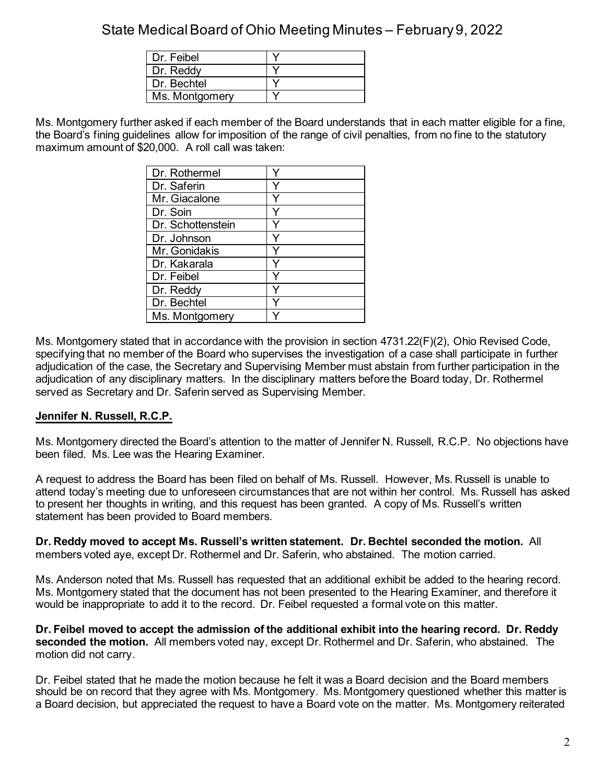| Dr. Feibel     |  |
|----------------|--|
| Dr. Reddy      |  |
| Dr Bechtel     |  |
| Ms. Montgomery |  |

Ms. Montgomery further asked if each member of the Board understands that in each matter eligible for a fine, the Board's fining guidelines allow for imposition of the range of civil penalties, from no fine to the statutory maximum amount of \$20,000. A roll call was taken:

| Dr. Rothermel     |   |
|-------------------|---|
| Dr. Saferin       |   |
| Mr. Giacalone     |   |
| Dr. Soin          |   |
| Dr. Schottenstein |   |
| Dr. Johnson       | Y |
| Mr. Gonidakis     |   |
| Dr. Kakarala      |   |
| Dr. Feibel        |   |
| Dr. Reddy         | Y |
| Dr. Bechtel       |   |
| Ms. Montgomery    |   |

Ms. Montgomery stated that in accordance with the provision in section 4731.22(F)(2), Ohio Revised Code, specifying that no member of the Board who supervises the investigation of a case shall participate in further adjudication of the case, the Secretary and Supervising Member must abstain from further participation in the adjudication of any disciplinary matters. In the disciplinary matters before the Board today, Dr. Rothermel served as Secretary and Dr. Saferin served as Supervising Member.

### **Jennifer N. Russell, R.C.P.**

Ms. Montgomery directed the Board's attention to the matter of Jennifer N. Russell, R.C.P. No objections have been filed. Ms. Lee was the Hearing Examiner.

A request to address the Board has been filed on behalf of Ms. Russell. However, Ms. Russell is unable to attend today's meeting due to unforeseen circumstances that are not within her control. Ms. Russell has asked to present her thoughts in writing, and this request has been granted. A copy of Ms. Russell's written statement has been provided to Board members.

**Dr. Reddy moved to accept Ms. Russell's written statement. Dr. Bechtel seconded the motion.** All members voted aye, except Dr. Rothermel and Dr. Saferin, who abstained. The motion carried.

Ms. Anderson noted that Ms. Russell has requested that an additional exhibit be added to the hearing record. Ms. Montgomery stated that the document has not been presented to the Hearing Examiner, and therefore it would be inappropriate to add it to the record. Dr. Feibel requested a formal vote on this matter.

**Dr. Feibel moved to accept the admission of the additional exhibit into the hearing record. Dr. Reddy seconded the motion.** All members voted nay, except Dr. Rothermel and Dr. Saferin, who abstained. The motion did not carry.

Dr. Feibel stated that he made the motion because he felt it was a Board decision and the Board members should be on record that they agree with Ms. Montgomery. Ms. Montgomery questioned whether this matter is a Board decision, but appreciated the request to have a Board vote on the matter. Ms. Montgomery reiterated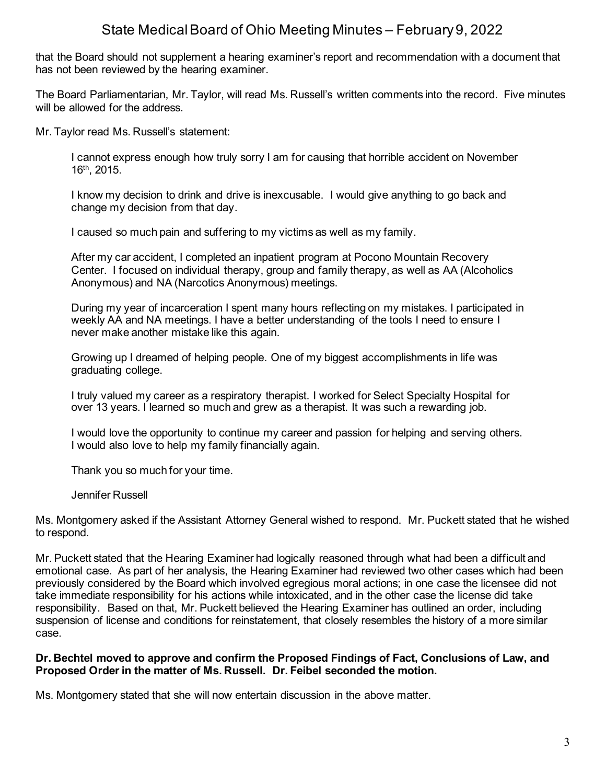that the Board should not supplement a hearing examiner's report and recommendation with a document that has not been reviewed by the hearing examiner.

The Board Parliamentarian, Mr. Taylor, will read Ms. Russell's written comments into the record. Five minutes will be allowed for the address.

Mr. Taylor read Ms. Russell's statement:

I cannot express enough how truly sorry I am for causing that horrible accident on November 16th, 2015.

I know my decision to drink and drive is inexcusable. I would give anything to go back and change my decision from that day.

I caused so much pain and suffering to my victims as well as my family.

After my car accident, I completed an inpatient program at Pocono Mountain Recovery Center. I focused on individual therapy, group and family therapy, as well as AA (Alcoholics Anonymous) and NA (Narcotics Anonymous) meetings.

During my year of incarceration I spent many hours reflecting on my mistakes. I participated in weekly AA and NA meetings. I have a better understanding of the tools I need to ensure I never make another mistake like this again.

Growing up I dreamed of helping people. One of my biggest accomplishments in life was graduating college.

I truly valued my career as a respiratory therapist. I worked for Select Specialty Hospital for over 13 years. I learned so much and grew as a therapist. It was such a rewarding job.

I would love the opportunity to continue my career and passion for helping and serving others. I would also love to help my family financially again.

Thank you so much for your time.

Jennifer Russell

Ms. Montgomery asked if the Assistant Attorney General wished to respond. Mr. Puckett stated that he wished to respond.

Mr. Puckett stated that the Hearing Examiner had logically reasoned through what had been a difficult and emotional case. As part of her analysis, the Hearing Examiner had reviewed two other cases which had been previously considered by the Board which involved egregious moral actions; in one case the licensee did not take immediate responsibility for his actions while intoxicated, and in the other case the license did take responsibility. Based on that, Mr. Puckett believed the Hearing Examiner has outlined an order, including suspension of license and conditions for reinstatement, that closely resembles the history of a more similar case.

#### **Dr. Bechtel moved to approve and confirm the Proposed Findings of Fact, Conclusions of Law, and Proposed Order in the matter of Ms. Russell. Dr. Feibel seconded the motion.**

Ms. Montgomery stated that she will now entertain discussion in the above matter.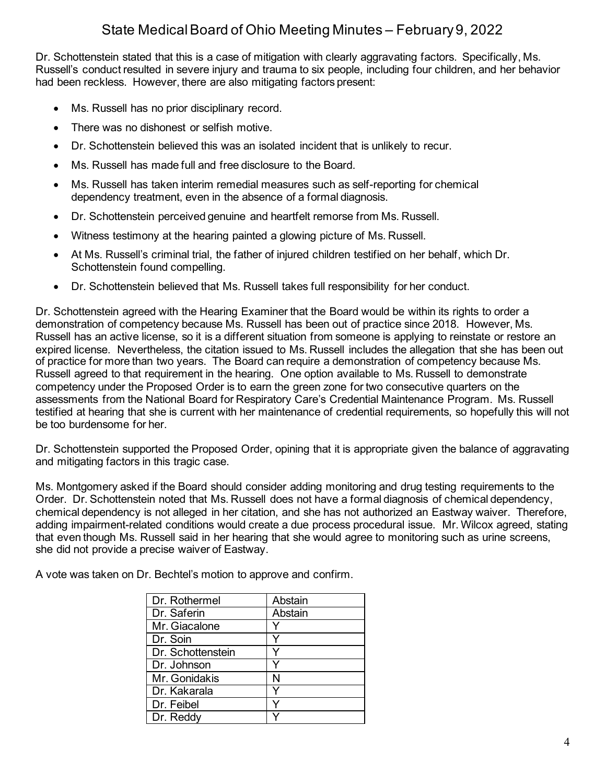Dr. Schottenstein stated that this is a case of mitigation with clearly aggravating factors. Specifically, Ms. Russell's conduct resulted in severe injury and trauma to six people, including four children, and her behavior had been reckless. However, there are also mitigating factors present:

- Ms. Russell has no prior disciplinary record.
- There was no dishonest or selfish motive.
- Dr. Schottenstein believed this was an isolated incident that is unlikely to recur.
- Ms. Russell has made full and free disclosure to the Board.
- Ms. Russell has taken interim remedial measures such as self-reporting for chemical dependency treatment, even in the absence of a formal diagnosis.
- Dr. Schottenstein perceived genuine and heartfelt remorse from Ms. Russell.
- Witness testimony at the hearing painted a glowing picture of Ms. Russell.
- At Ms. Russell's criminal trial, the father of injured children testified on her behalf, which Dr. Schottenstein found compelling.
- Dr. Schottenstein believed that Ms. Russell takes full responsibility for her conduct.

Dr. Schottenstein agreed with the Hearing Examiner that the Board would be within its rights to order a demonstration of competency because Ms. Russell has been out of practice since 2018. However, Ms. Russell has an active license, so it is a different situation from someone is applying to reinstate or restore an expired license. Nevertheless, the citation issued to Ms. Russell includes the allegation that she has been out of practice for more than two years. The Board can require a demonstration of competency because Ms. Russell agreed to that requirement in the hearing. One option available to Ms. Russell to demonstrate competency under the Proposed Order is to earn the green zone for two consecutive quarters on the assessments from the National Board for Respiratory Care's Credential Maintenance Program. Ms. Russell testified at hearing that she is current with her maintenance of credential requirements, so hopefully this will not be too burdensome for her.

Dr. Schottenstein supported the Proposed Order, opining that it is appropriate given the balance of aggravating and mitigating factors in this tragic case.

Ms. Montgomery asked if the Board should consider adding monitoring and drug testing requirements to the Order. Dr. Schottenstein noted that Ms. Russell does not have a formal diagnosis of chemical dependency, chemical dependency is not alleged in her citation, and she has not authorized an Eastway waiver. Therefore, adding impairment-related conditions would create a due process procedural issue. Mr. Wilcox agreed, stating that even though Ms. Russell said in her hearing that she would agree to monitoring such as urine screens, she did not provide a precise waiver of Eastway.

A vote was taken on Dr. Bechtel's motion to approve and confirm.

| Dr. Rothermel     | Abstain |
|-------------------|---------|
| Dr. Saferin       | Abstain |
| Mr. Giacalone     |         |
| Dr. Soin          |         |
| Dr. Schottenstein |         |
| Dr. Johnson       |         |
| Mr. Gonidakis     | N       |
| Dr. Kakarala      |         |
| Dr. Feibel        |         |
| Dr. Reddy         |         |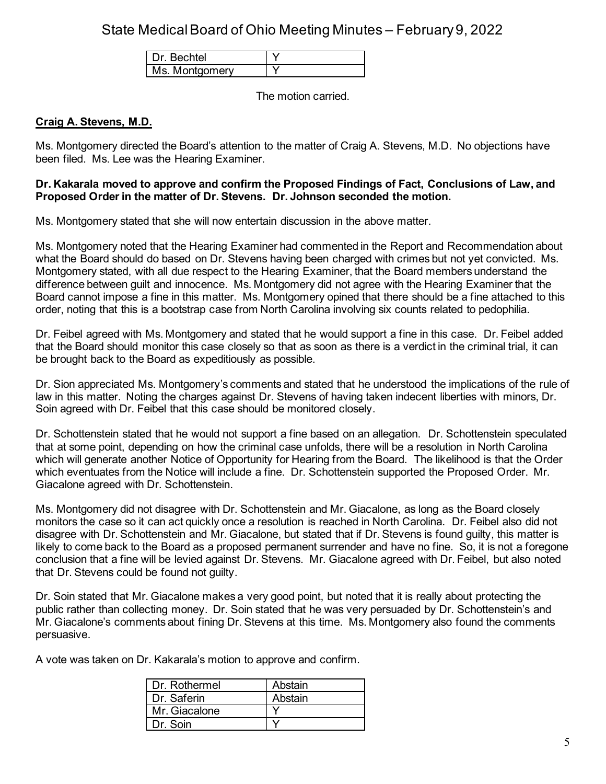| Dr Bechtel     |  |
|----------------|--|
| Ms. Montgomery |  |

The motion carried.

#### **Craig A. Stevens, M.D.**

Ms. Montgomery directed the Board's attention to the matter of Craig A. Stevens, M.D. No objections have been filed. Ms. Lee was the Hearing Examiner.

#### **Dr. Kakarala moved to approve and confirm the Proposed Findings of Fact, Conclusions of Law, and Proposed Order in the matter of Dr. Stevens. Dr. Johnson seconded the motion.**

Ms. Montgomery stated that she will now entertain discussion in the above matter.

Ms. Montgomery noted that the Hearing Examiner had commented in the Report and Recommendation about what the Board should do based on Dr. Stevens having been charged with crimes but not yet convicted. Ms. Montgomery stated, with all due respect to the Hearing Examiner, that the Board members understand the difference between guilt and innocence. Ms. Montgomery did not agree with the Hearing Examiner that the Board cannot impose a fine in this matter. Ms. Montgomery opined that there should be a fine attached to this order, noting that this is a bootstrap case from North Carolina involving six counts related to pedophilia.

Dr. Feibel agreed with Ms. Montgomery and stated that he would support a fine in this case. Dr. Feibel added that the Board should monitor this case closely so that as soon as there is a verdict in the criminal trial, it can be brought back to the Board as expeditiously as possible.

Dr. Sion appreciated Ms. Montgomery's comments and stated that he understood the implications of the rule of law in this matter. Noting the charges against Dr. Stevens of having taken indecent liberties with minors, Dr. Soin agreed with Dr. Feibel that this case should be monitored closely.

Dr. Schottenstein stated that he would not support a fine based on an allegation. Dr. Schottenstein speculated that at some point, depending on how the criminal case unfolds, there will be a resolution in North Carolina which will generate another Notice of Opportunity for Hearing from the Board. The likelihood is that the Order which eventuates from the Notice will include a fine. Dr. Schottenstein supported the Proposed Order. Mr. Giacalone agreed with Dr. Schottenstein.

Ms. Montgomery did not disagree with Dr. Schottenstein and Mr. Giacalone, as long as the Board closely monitors the case so it can act quickly once a resolution is reached in North Carolina. Dr. Feibel also did not disagree with Dr. Schottenstein and Mr. Giacalone, but stated that if Dr. Stevens is found guilty, this matter is likely to come back to the Board as a proposed permanent surrender and have no fine. So, it is not a foregone conclusion that a fine will be levied against Dr. Stevens. Mr. Giacalone agreed with Dr. Feibel, but also noted that Dr. Stevens could be found not guilty.

Dr. Soin stated that Mr. Giacalone makes a very good point, but noted that it is really about protecting the public rather than collecting money. Dr. Soin stated that he was very persuaded by Dr. Schottenstein's and Mr. Giacalone's comments about fining Dr. Stevens at this time. Ms. Montgomery also found the comments persuasive.

A vote was taken on Dr. Kakarala's motion to approve and confirm.

| Dr. Rothermel | Abstain |
|---------------|---------|
| l Dr. Saferin | Abstain |
| Mr. Giacalone |         |
| Dr. Soin      |         |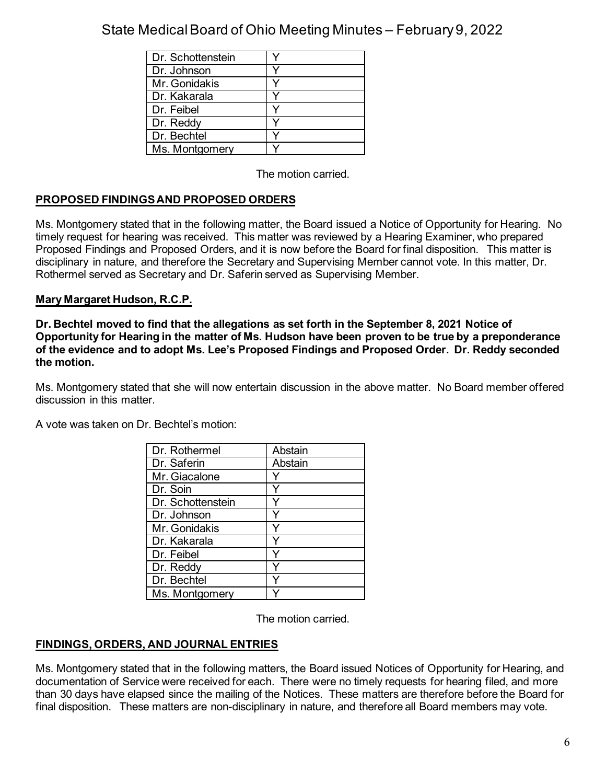| Dr. Schottenstein |  |
|-------------------|--|
| Dr. Johnson       |  |
| Mr. Gonidakis     |  |
| Dr. Kakarala      |  |
| Dr. Feibel        |  |
| Dr. Reddy         |  |
| Dr. Bechtel       |  |
| Ms. Montgomery    |  |

The motion carried.

# **PROPOSED FINDINGS AND PROPOSED ORDERS**

Ms. Montgomery stated that in the following matter, the Board issued a Notice of Opportunity for Hearing. No timely request for hearing was received. This matter was reviewed by a Hearing Examiner, who prepared Proposed Findings and Proposed Orders, and it is now before the Board for final disposition. This matter is disciplinary in nature, and therefore the Secretary and Supervising Member cannot vote. In this matter, Dr. Rothermel served as Secretary and Dr. Saferin served as Supervising Member.

## **Mary Margaret Hudson, R.C.P.**

**Dr. Bechtel moved to find that the allegations as set forth in the September 8, 2021 Notice of Opportunity for Hearing in the matter of Ms. Hudson have been proven to be true by a preponderance of the evidence and to adopt Ms. Lee's Proposed Findings and Proposed Order. Dr. Reddy seconded the motion.**

Ms. Montgomery stated that she will now entertain discussion in the above matter. No Board member offered discussion in this matter.

|  |  |  |  | A vote was taken on Dr. Bechtel's motion: |  |
|--|--|--|--|-------------------------------------------|--|
|--|--|--|--|-------------------------------------------|--|

| Dr. Rothermel     | Abstain |
|-------------------|---------|
| Dr. Saferin       | Abstain |
| Mr. Giacalone     |         |
| Dr. Soin          |         |
| Dr. Schottenstein |         |
| Dr. Johnson       |         |
| Mr. Gonidakis     |         |
| Dr. Kakarala      |         |
| Dr. Feibel        |         |
| Dr. Reddy         |         |
| Dr. Bechtel       |         |
| Ms. Montgomery    |         |

The motion carried.

### **FINDINGS, ORDERS, AND JOURNAL ENTRIES**

Ms. Montgomery stated that in the following matters, the Board issued Notices of Opportunity for Hearing, and documentation of Service were received for each. There were no timely requests for hearing filed, and more than 30 days have elapsed since the mailing of the Notices. These matters are therefore before the Board for final disposition. These matters are non-disciplinary in nature, and therefore all Board members may vote.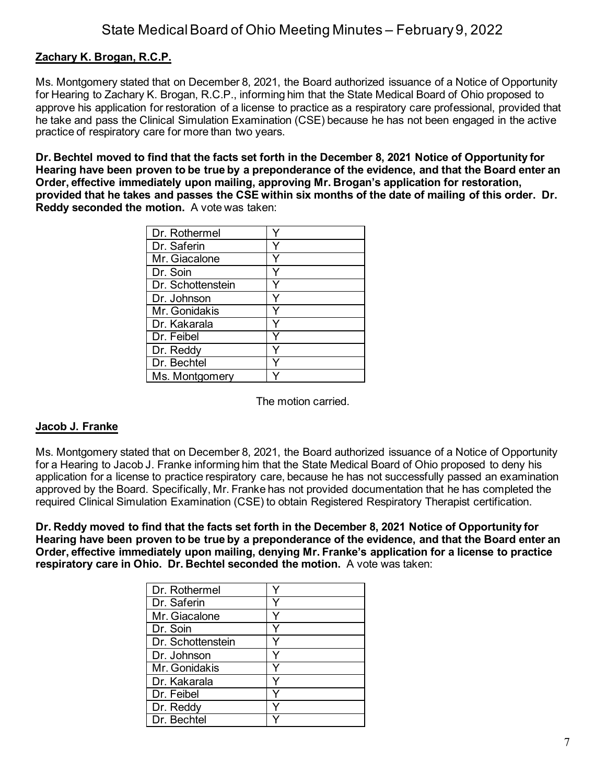## **Zachary K. Brogan, R.C.P.**

Ms. Montgomery stated that on December 8, 2021, the Board authorized issuance of a Notice of Opportunity for Hearing to Zachary K. Brogan, R.C.P., informing him that the State Medical Board of Ohio proposed to approve his application for restoration of a license to practice as a respiratory care professional, provided that he take and pass the Clinical Simulation Examination (CSE) because he has not been engaged in the active practice of respiratory care for more than two years.

**Dr. Bechtel moved to find that the facts set forth in the December 8, 2021 Notice of Opportunity for Hearing have been proven to be true by a preponderance of the evidence, and that the Board enter an Order, effective immediately upon mailing, approving Mr. Brogan's application for restoration, provided that he takes and passes the CSE within six months of the date of mailing of this order. Dr. Reddy seconded the motion.** A vote was taken:

| Dr. Rothermel     |  |
|-------------------|--|
| Dr. Saferin       |  |
| Mr. Giacalone     |  |
| Dr. Soin          |  |
| Dr. Schottenstein |  |
| Dr. Johnson       |  |
| Mr. Gonidakis     |  |
| Dr. Kakarala      |  |
| Dr. Feibel        |  |
| Dr. Reddy         |  |
| Dr. Bechtel       |  |
| Ms. Montgomery    |  |

The motion carried.

### **Jacob J. Franke**

Ms. Montgomery stated that on December 8, 2021, the Board authorized issuance of a Notice of Opportunity for a Hearing to Jacob J. Franke informing him that the State Medical Board of Ohio proposed to deny his application for a license to practice respiratory care, because he has not successfully passed an examination approved by the Board. Specifically, Mr. Franke has not provided documentation that he has completed the required Clinical Simulation Examination (CSE) to obtain Registered Respiratory Therapist certification.

**Dr. Reddy moved to find that the facts set forth in the December 8, 2021 Notice of Opportunity for Hearing have been proven to be true by a preponderance of the evidence, and that the Board enter an Order, effective immediately upon mailing, denying Mr. Franke's application for a license to practice respiratory care in Ohio. Dr. Bechtel seconded the motion.** A vote was taken:

| Dr. Rothermel     |  |
|-------------------|--|
| Dr. Saferin       |  |
| Mr. Giacalone     |  |
| Dr. Soin          |  |
| Dr. Schottenstein |  |
| Dr. Johnson       |  |
| Mr. Gonidakis     |  |
| Dr. Kakarala      |  |
| Dr. Feibel        |  |
| Dr. Reddy         |  |
| Dr. Bechtel       |  |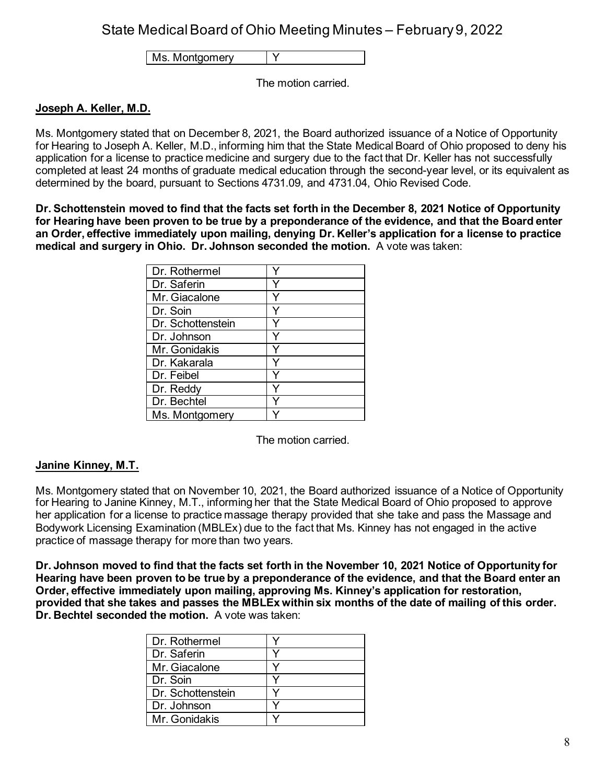Ms. Montgomery | Y

The motion carried.

### **Joseph A. Keller, M.D.**

Ms. Montgomery stated that on December 8, 2021, the Board authorized issuance of a Notice of Opportunity for Hearing to Joseph A. Keller, M.D., informing him that the State Medical Board of Ohio proposed to deny his application for a license to practice medicine and surgery due to the fact that Dr. Keller has not successfully completed at least 24 months of graduate medical education through the second-year level, or its equivalent as determined by the board, pursuant to Sections 4731.09, and 4731.04, Ohio Revised Code.

**Dr. Schottenstein moved to find that the facts set forth in the December 8, 2021 Notice of Opportunity for Hearing have been proven to be true by a preponderance of the evidence, and that the Board enter an Order, effective immediately upon mailing, denying Dr. Keller's application for a license to practice medical and surgery in Ohio. Dr. Johnson seconded the motion.** A vote was taken:

| Dr. Rothermel     |  |
|-------------------|--|
| Dr. Saferin       |  |
| Mr. Giacalone     |  |
| Dr. Soin          |  |
| Dr. Schottenstein |  |
| Dr. Johnson       |  |
| Mr. Gonidakis     |  |
| Dr. Kakarala      |  |
| Dr. Feibel        |  |
| Dr. Reddy         |  |
| Dr. Bechtel       |  |
| Ms. Montgomery    |  |

The motion carried.

### **Janine Kinney, M.T.**

Ms. Montgomery stated that on November 10, 2021, the Board authorized issuance of a Notice of Opportunity for Hearing to Janine Kinney, M.T., informing her that the State Medical Board of Ohio proposed to approve her application for a license to practice massage therapy provided that she take and pass the Massage and Bodywork Licensing Examination (MBLEx) due to the fact that Ms. Kinney has not engaged in the active practice of massage therapy for more than two years.

**Dr. Johnson moved to find that the facts set forth in the November 10, 2021 Notice of Opportunity for Hearing have been proven to be true by a preponderance of the evidence, and that the Board enter an Order, effective immediately upon mailing, approving Ms. Kinney's application for restoration, provided that she takes and passes the MBLEx within six months of the date of mailing of this order. Dr. Bechtel seconded the motion.** A vote was taken:

| Dr. Rothermel     |  |
|-------------------|--|
| Dr. Saferin       |  |
| Mr. Giacalone     |  |
| Dr. Soin          |  |
| Dr. Schottenstein |  |
| Dr. Johnson       |  |
| Mr. Gonidakis     |  |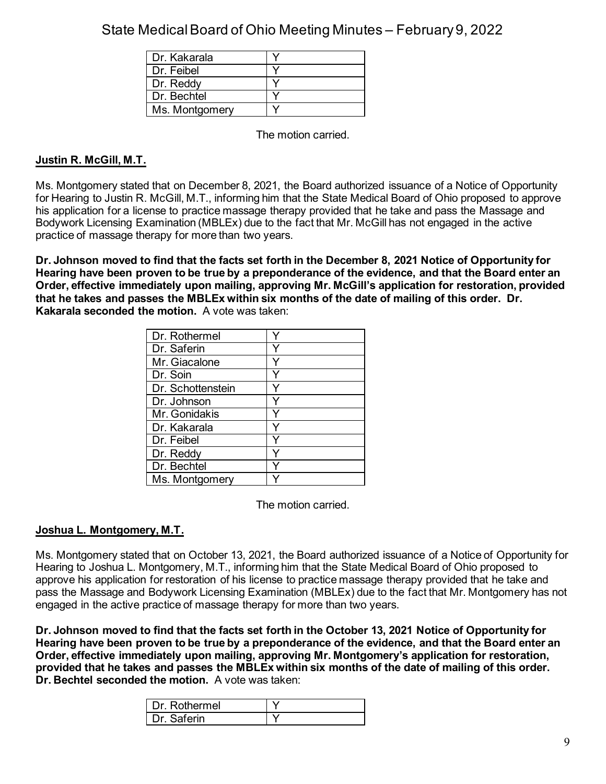| Dr. Kakarala   |  |
|----------------|--|
| Dr. Feibel     |  |
| Dr. Reddy      |  |
| Dr. Bechtel    |  |
| Ms. Montgomery |  |

The motion carried.

## **Justin R. McGill, M.T.**

Ms. Montgomery stated that on December 8, 2021, the Board authorized issuance of a Notice of Opportunity for Hearing to Justin R. McGill, M.T., informing him that the State Medical Board of Ohio proposed to approve his application for a license to practice massage therapy provided that he take and pass the Massage and Bodywork Licensing Examination (MBLEx) due to the fact that Mr. McGill has not engaged in the active practice of massage therapy for more than two years.

**Dr. Johnson moved to find that the facts set forth in the December 8, 2021 Notice of Opportunity for Hearing have been proven to be true by a preponderance of the evidence, and that the Board enter an Order, effective immediately upon mailing, approving Mr. McGill's application for restoration, provided that he takes and passes the MBLEx within six months of the date of mailing of this order. Dr. Kakarala seconded the motion.** A vote was taken:

| Dr. Rothermel     |  |
|-------------------|--|
| Dr. Saferin       |  |
| Mr. Giacalone     |  |
| Dr. Soin          |  |
| Dr. Schottenstein |  |
| Dr. Johnson       |  |
| Mr. Gonidakis     |  |
| Dr. Kakarala      |  |
| Dr. Feibel        |  |
| Dr. Reddy         |  |
| Dr. Bechtel       |  |
| Ms. Montgomery    |  |

The motion carried.

### **Joshua L. Montgomery, M.T.**

Ms. Montgomery stated that on October 13, 2021, the Board authorized issuance of a Notice of Opportunity for Hearing to Joshua L. Montgomery, M.T., informing him that the State Medical Board of Ohio proposed to approve his application for restoration of his license to practice massage therapy provided that he take and pass the Massage and Bodywork Licensing Examination (MBLEx) due to the fact that Mr. Montgomery has not engaged in the active practice of massage therapy for more than two years.

**Dr. Johnson moved to find that the facts set forth in the October 13, 2021 Notice of Opportunity for Hearing have been proven to be true by a preponderance of the evidence, and that the Board enter an Order, effective immediately upon mailing, approving Mr. Montgomery's application for restoration, provided that he takes and passes the MBLEx within six months of the date of mailing of this order. Dr. Bechtel seconded the motion.** A vote was taken:

| I Dr Rothermel |  |
|----------------|--|
| )r Saferin     |  |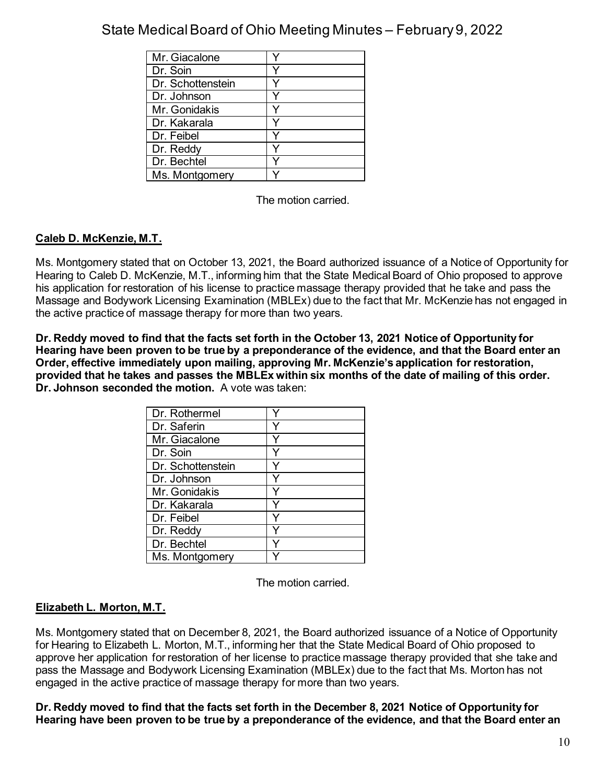| Mr. Giacalone     |  |
|-------------------|--|
| Dr. Soin          |  |
| Dr. Schottenstein |  |
| Dr. Johnson       |  |
| Mr. Gonidakis     |  |
| Dr. Kakarala      |  |
| Dr. Feibel        |  |
| Dr. Reddy         |  |
| Dr. Bechtel       |  |
| Ms. Montgomery    |  |

The motion carried.

## **Caleb D. McKenzie, M.T.**

Ms. Montgomery stated that on October 13, 2021, the Board authorized issuance of a Notice of Opportunity for Hearing to Caleb D. McKenzie, M.T., informing him that the State Medical Board of Ohio proposed to approve his application for restoration of his license to practice massage therapy provided that he take and pass the Massage and Bodywork Licensing Examination (MBLEx) due to the fact that Mr. McKenzie has not engaged in the active practice of massage therapy for more than two years.

**Dr. Reddy moved to find that the facts set forth in the October 13, 2021 Notice of Opportunity for Hearing have been proven to be true by a preponderance of the evidence, and that the Board enter an Order, effective immediately upon mailing, approving Mr. McKenzie's application for restoration, provided that he takes and passes the MBLEx within six months of the date of mailing of this order. Dr. Johnson seconded the motion.** A vote was taken:

| Dr. Rothermel     |  |
|-------------------|--|
| Dr. Saferin       |  |
| Mr. Giacalone     |  |
| Dr. Soin          |  |
| Dr. Schottenstein |  |
| Dr. Johnson       |  |
| Mr. Gonidakis     |  |
| Dr. Kakarala      |  |
| Dr. Feibel        |  |
| Dr. Reddy         |  |
| Dr. Bechtel       |  |
| Ms. Montgomery    |  |

The motion carried.

## **Elizabeth L. Morton, M.T.**

Ms. Montgomery stated that on December 8, 2021, the Board authorized issuance of a Notice of Opportunity for Hearing to Elizabeth L. Morton, M.T., informing her that the State Medical Board of Ohio proposed to approve her application for restoration of her license to practice massage therapy provided that she take and pass the Massage and Bodywork Licensing Examination (MBLEx) due to the fact that Ms. Morton has not engaged in the active practice of massage therapy for more than two years.

**Dr. Reddy moved to find that the facts set forth in the December 8, 2021 Notice of Opportunity for Hearing have been proven to be true by a preponderance of the evidence, and that the Board enter an**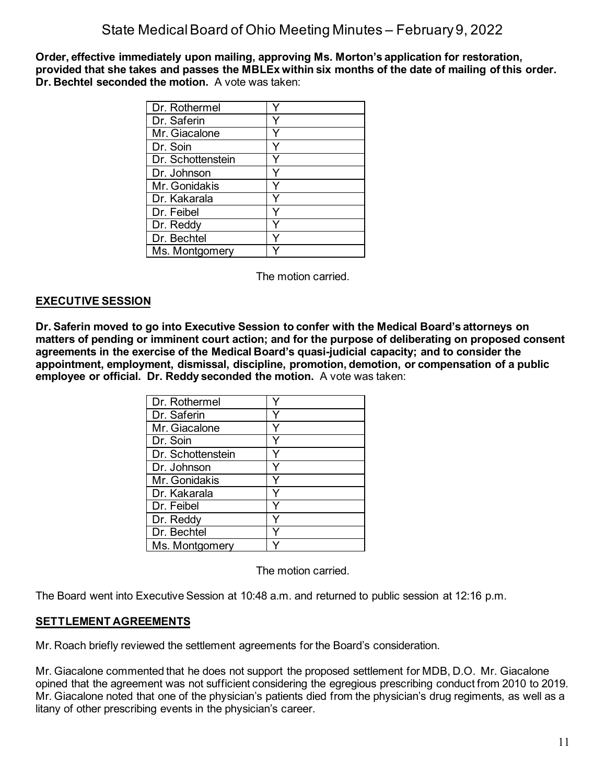**Order, effective immediately upon mailing, approving Ms. Morton's application for restoration, provided that she takes and passes the MBLEx within six months of the date of mailing of this order. Dr. Bechtel seconded the motion.** A vote was taken:

| Dr. Rothermel     |   |
|-------------------|---|
| Dr. Saferin       |   |
| Mr. Giacalone     |   |
| Dr. Soin          |   |
| Dr. Schottenstein |   |
| Dr. Johnson       |   |
| Mr. Gonidakis     |   |
| Dr. Kakarala      |   |
| Dr. Feibel        | v |
| Dr. Reddy         |   |
| Dr. Bechtel       |   |
| Ms. Montgomery    |   |

The motion carried.

## **EXECUTIVE SESSION**

**Dr. Saferin moved to go into Executive Session to confer with the Medical Board's attorneys on matters of pending or imminent court action; and for the purpose of deliberating on proposed consent agreements in the exercise of the Medical Board's quasi-judicial capacity; and to consider the appointment, employment, dismissal, discipline, promotion, demotion, or compensation of a public employee or official. Dr. Reddy seconded the motion.** A vote was taken:

| Dr. Rothermel     |  |
|-------------------|--|
| Dr. Saferin       |  |
| Mr. Giacalone     |  |
| Dr. Soin          |  |
| Dr. Schottenstein |  |
| Dr. Johnson       |  |
| Mr. Gonidakis     |  |
| Dr. Kakarala      |  |
| Dr. Feibel        |  |
| Dr. Reddy         |  |
| Dr. Bechtel       |  |
| Ms. Montgomery    |  |

The motion carried.

The Board went into Executive Session at 10:48 a.m. and returned to public session at 12:16 p.m.

### **SETTLEMENT AGREEMENTS**

Mr. Roach briefly reviewed the settlement agreements for the Board's consideration.

Mr. Giacalone commented that he does not support the proposed settlement for MDB, D.O. Mr. Giacalone opined that the agreement was not sufficient considering the egregious prescribing conduct from 2010 to 2019. Mr. Giacalone noted that one of the physician's patients died from the physician's drug regiments, as well as a litany of other prescribing events in the physician's career.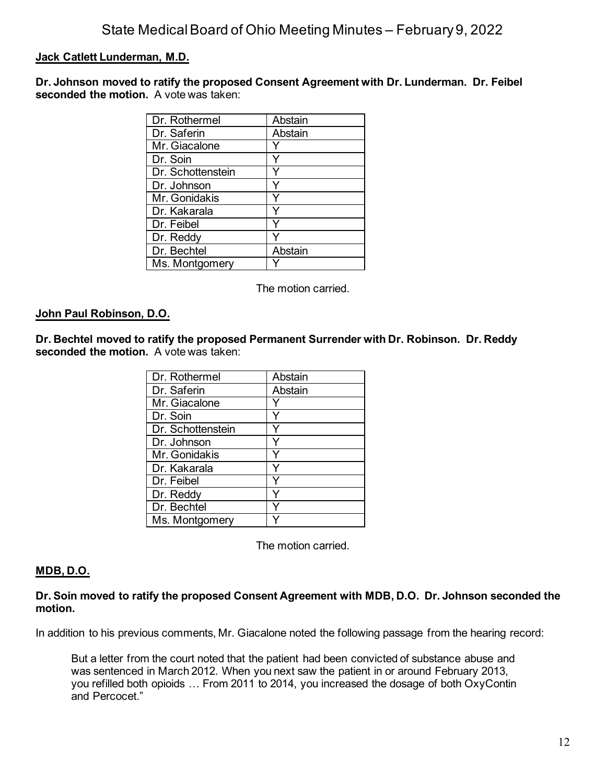### **Jack Catlett Lunderman, M.D.**

**Dr. Johnson moved to ratify the proposed Consent Agreement with Dr. Lunderman. Dr. Feibel seconded the motion.** A vote was taken:

| Dr. Rothermel     | Abstain |
|-------------------|---------|
| Dr. Saferin       | Abstain |
| Mr. Giacalone     |         |
| Dr. Soin          |         |
| Dr. Schottenstein |         |
| Dr. Johnson       |         |
| Mr. Gonidakis     |         |
| Dr. Kakarala      |         |
| Dr. Feibel        |         |
| Dr. Reddy         |         |
| Dr. Bechtel       | Abstain |
| Ms. Montgomery    |         |

The motion carried.

#### **John Paul Robinson, D.O.**

**Dr. Bechtel moved to ratify the proposed Permanent Surrender with Dr. Robinson. Dr. Reddy seconded the motion.** A vote was taken:

| Dr. Rothermel     | Abstain |
|-------------------|---------|
| Dr. Saferin       | Abstain |
| Mr. Giacalone     |         |
| Dr. Soin          |         |
| Dr. Schottenstein |         |
| Dr. Johnson       |         |
| Mr. Gonidakis     |         |
| Dr. Kakarala      |         |
| Dr. Feibel        |         |
| Dr. Reddy         |         |
| Dr. Bechtel       |         |
| Ms. Montgomery    |         |

The motion carried.

#### **MDB, D.O.**

**Dr. Soin moved to ratify the proposed Consent Agreement with MDB, D.O. Dr. Johnson seconded the motion.**

In addition to his previous comments, Mr. Giacalone noted the following passage from the hearing record:

But a letter from the court noted that the patient had been convicted of substance abuse and was sentenced in March 2012. When you next saw the patient in or around February 2013, you refilled both opioids … From 2011 to 2014, you increased the dosage of both OxyContin and Percocet."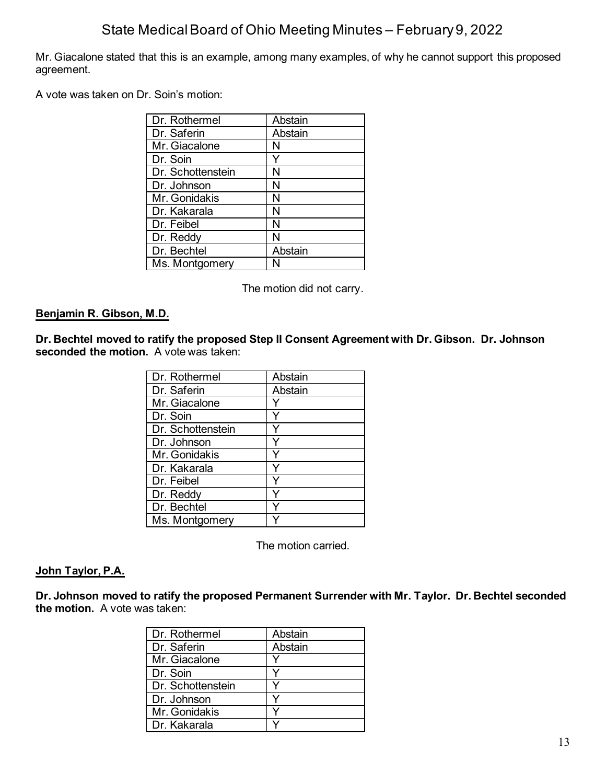Mr. Giacalone stated that this is an example, among many examples, of why he cannot support this proposed agreement.

A vote was taken on Dr. Soin's motion:

| Dr. Rothermel     | Abstain |
|-------------------|---------|
| Dr. Saferin       | Abstain |
| Mr. Giacalone     | N       |
| Dr. Soin          |         |
| Dr. Schottenstein | Ν       |
| Dr. Johnson       | Ν       |
| Mr. Gonidakis     | N       |
| Dr. Kakarala      | Ν       |
| Dr. Feibel        | Ν       |
| Dr. Reddy         | N       |
| Dr. Bechtel       | Abstain |
| Ms. Montgomery    |         |

The motion did not carry.

### **Benjamin R. Gibson, M.D.**

**Dr. Bechtel moved to ratify the proposed Step II Consent Agreement with Dr. Gibson. Dr. Johnson seconded the motion.** A vote was taken:

| Dr. Rothermel     | Abstain |
|-------------------|---------|
| Dr. Saferin       | Abstain |
| Mr. Giacalone     |         |
| Dr. Soin          |         |
| Dr. Schottenstein |         |
| Dr. Johnson       |         |
| Mr. Gonidakis     |         |
| Dr. Kakarala      |         |
| Dr. Feibel        |         |
| Dr. Reddy         |         |
| Dr. Bechtel       |         |
| Ms. Montgomery    |         |

The motion carried.

### **John Taylor, P.A.**

**Dr. Johnson moved to ratify the proposed Permanent Surrender with Mr. Taylor. Dr. Bechtel seconded the motion.** A vote was taken:

| Dr. Rothermel     | Abstain |
|-------------------|---------|
| Dr. Saferin       | Abstain |
| Mr. Giacalone     |         |
| Dr. Soin          |         |
| Dr. Schottenstein |         |
| Dr. Johnson       |         |
| Mr. Gonidakis     |         |
| Dr. Kakarala      |         |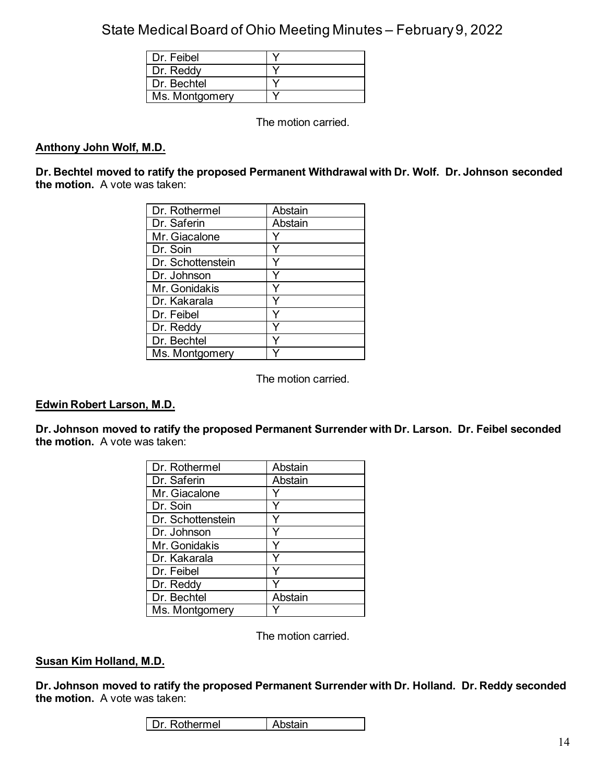| Dr. Feibel     |  |
|----------------|--|
| Dr. Reddy      |  |
| Dr. Bechtel    |  |
| Ms. Montgomery |  |

The motion carried.

#### **Anthony John Wolf, M.D.**

**Dr. Bechtel moved to ratify the proposed Permanent Withdrawal with Dr. Wolf. Dr. Johnson seconded the motion.** A vote was taken:

| Dr. Rothermel     | Abstain |
|-------------------|---------|
| Dr. Saferin       | Abstain |
| Mr. Giacalone     |         |
| Dr. Soin          |         |
| Dr. Schottenstein |         |
| Dr. Johnson       |         |
| Mr. Gonidakis     |         |
| Dr. Kakarala      |         |
| Dr. Feibel        | ٧       |
| Dr. Reddy         |         |
| Dr. Bechtel       |         |
| Ms. Montgomery    |         |

The motion carried.

#### **Edwin Robert Larson, M.D.**

**Dr. Johnson moved to ratify the proposed Permanent Surrender with Dr. Larson. Dr. Feibel seconded the motion.** A vote was taken:

| Dr. Rothermel     | Abstain |
|-------------------|---------|
| Dr. Saferin       | Abstain |
| Mr. Giacalone     |         |
| Dr. Soin          |         |
| Dr. Schottenstein |         |
| Dr. Johnson       |         |
| Mr. Gonidakis     |         |
| Dr. Kakarala      |         |
| Dr. Feibel        | ∨       |
| Dr. Reddy         |         |
| Dr. Bechtel       | Abstain |
| Ms. Montgomery    |         |

The motion carried.

#### **Susan Kim Holland, M.D.**

**Dr. Johnson moved to ratify the proposed Permanent Surrender with Dr. Holland. Dr. Reddy seconded the motion.** A vote was taken: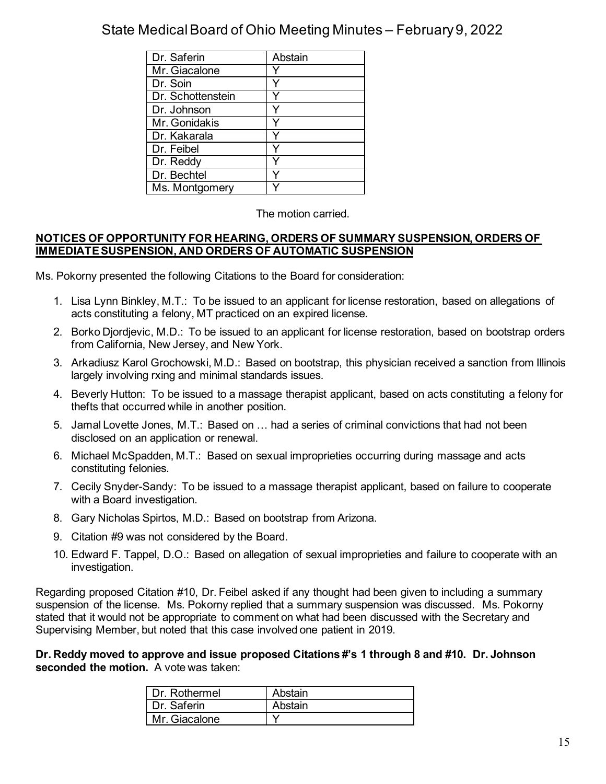| Dr. Saferin       | Abstain |
|-------------------|---------|
| Mr. Giacalone     |         |
| Dr. Soin          |         |
| Dr. Schottenstein |         |
| Dr. Johnson       |         |
| Mr. Gonidakis     |         |
| Dr. Kakarala      |         |
| Dr. Feibel        |         |
| Dr. Reddy         |         |
| Dr. Bechtel       |         |
| Ms. Montgomery    |         |

#### The motion carried.

### **NOTICES OF OPPORTUNITY FOR HEARING, ORDERS OF SUMMARY SUSPENSION, ORDERS OF IMMEDIATE SUSPENSION, AND ORDERS OF AUTOMATIC SUSPENSION**

Ms. Pokorny presented the following Citations to the Board for consideration:

- 1. Lisa Lynn Binkley, M.T.: To be issued to an applicant for license restoration, based on allegations of acts constituting a felony, MT practiced on an expired license.
- 2. Borko Djordjevic, M.D.: To be issued to an applicant for license restoration, based on bootstrap orders from California, New Jersey, and New York.
- 3. Arkadiusz Karol Grochowski, M.D.: Based on bootstrap, this physician received a sanction from Illinois largely involving rxing and minimal standards issues.
- 4. Beverly Hutton: To be issued to a massage therapist applicant, based on acts constituting a felony for thefts that occurred while in another position.
- 5. Jamal Lovette Jones, M.T.: Based on … had a series of criminal convictions that had not been disclosed on an application or renewal.
- 6. Michael McSpadden, M.T.: Based on sexual improprieties occurring during massage and acts constituting felonies.
- 7. Cecily Snyder-Sandy: To be issued to a massage therapist applicant, based on failure to cooperate with a Board investigation.
- 8. Gary Nicholas Spirtos, M.D.: Based on bootstrap from Arizona.
- 9. Citation #9 was not considered by the Board.
- 10. Edward F. Tappel, D.O.: Based on allegation of sexual improprieties and failure to cooperate with an investigation.

Regarding proposed Citation #10, Dr. Feibel asked if any thought had been given to including a summary suspension of the license. Ms. Pokorny replied that a summary suspension was discussed. Ms. Pokorny stated that it would not be appropriate to comment on what had been discussed with the Secretary and Supervising Member, but noted that this case involved one patient in 2019.

**Dr. Reddy moved to approve and issue proposed Citations #'s 1 through 8 and #10. Dr. Johnson seconded the motion.** A vote was taken:

| Dr. Rothermel | Abstain |
|---------------|---------|
| Dr. Saferin   | Abstain |
| Mr. Giacalone |         |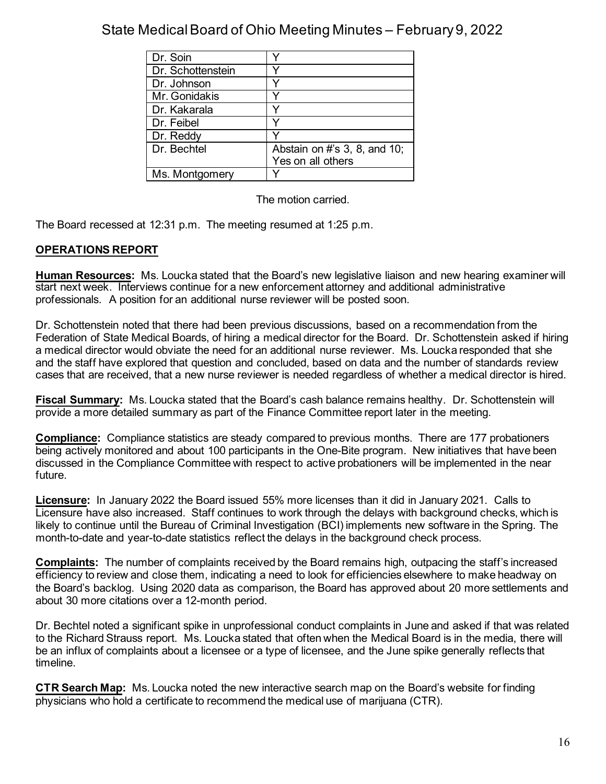| Dr. Soin          |                              |
|-------------------|------------------------------|
| Dr. Schottenstein |                              |
| Dr. Johnson       |                              |
| Mr. Gonidakis     |                              |
| Dr. Kakarala      |                              |
| Dr. Feibel        |                              |
| Dr. Reddy         |                              |
| Dr. Bechtel       | Abstain on #'s 3, 8, and 10; |
|                   | Yes on all others            |
| Ms. Montgomery    |                              |

The motion carried.

The Board recessed at 12:31 p.m. The meeting resumed at 1:25 p.m.

## **OPERATIONS REPORT**

**Human Resources:** Ms. Loucka stated that the Board's new legislative liaison and new hearing examiner will start next week. Interviews continue for a new enforcement attorney and additional administrative professionals. A position for an additional nurse reviewer will be posted soon.

Dr. Schottenstein noted that there had been previous discussions, based on a recommendation from the Federation of State Medical Boards, of hiring a medical director for the Board. Dr. Schottenstein asked if hiring a medical director would obviate the need for an additional nurse reviewer. Ms. Loucka responded that she and the staff have explored that question and concluded, based on data and the number of standards review cases that are received, that a new nurse reviewer is needed regardless of whether a medical director is hired.

**Fiscal Summary:** Ms. Loucka stated that the Board's cash balance remains healthy. Dr. Schottenstein will provide a more detailed summary as part of the Finance Committee report later in the meeting.

**Compliance:** Compliance statistics are steady compared to previous months. There are 177 probationers being actively monitored and about 100 participants in the One-Bite program. New initiatives that have been discussed in the Compliance Committee with respect to active probationers will be implemented in the near future.

**Licensure:** In January 2022 the Board issued 55% more licenses than it did in January 2021. Calls to Licensure have also increased. Staff continues to work through the delays with background checks, which is likely to continue until the Bureau of Criminal Investigation (BCI) implements new software in the Spring. The month-to-date and year-to-date statistics reflect the delays in the background check process.

**Complaints:** The number of complaints received by the Board remains high, outpacing the staff's increased efficiency to review and close them, indicating a need to look for efficiencies elsewhere to make headway on the Board's backlog. Using 2020 data as comparison, the Board has approved about 20 more settlements and about 30 more citations over a 12-month period.

Dr. Bechtel noted a significant spike in unprofessional conduct complaints in June and asked if that was related to the Richard Strauss report. Ms. Loucka stated that often when the Medical Board is in the media, there will be an influx of complaints about a licensee or a type of licensee, and the June spike generally reflects that timeline.

**CTR Search Map:** Ms. Loucka noted the new interactive search map on the Board's website for finding physicians who hold a certificate to recommend the medical use of marijuana (CTR).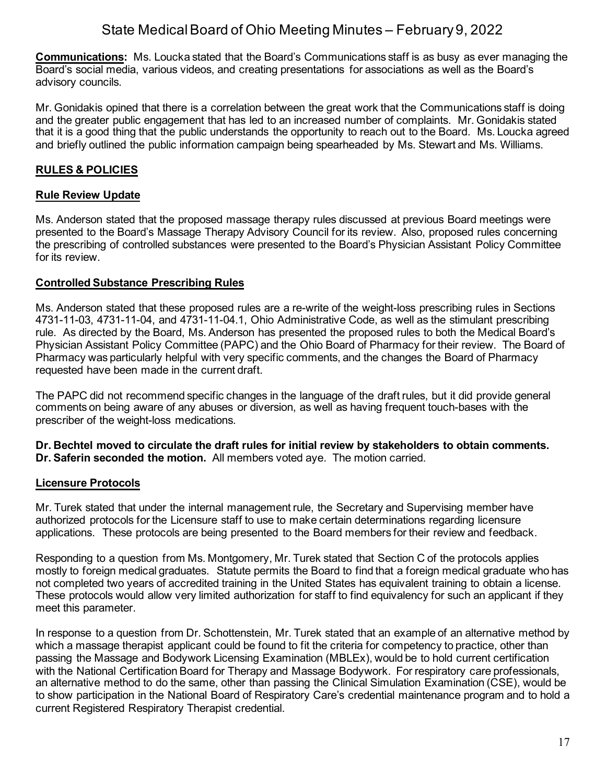**Communications:** Ms. Loucka stated that the Board's Communications staff is as busy as ever managing the Board's social media, various videos, and creating presentations for associations as well as the Board's advisory councils.

Mr. Gonidakis opined that there is a correlation between the great work that the Communications staff is doing and the greater public engagement that has led to an increased number of complaints. Mr. Gonidakis stated that it is a good thing that the public understands the opportunity to reach out to the Board. Ms. Loucka agreed and briefly outlined the public information campaign being spearheaded by Ms. Stewart and Ms. Williams.

## **RULES & POLICIES**

## **Rule Review Update**

Ms. Anderson stated that the proposed massage therapy rules discussed at previous Board meetings were presented to the Board's Massage Therapy Advisory Council for its review. Also, proposed rules concerning the prescribing of controlled substances were presented to the Board's Physician Assistant Policy Committee for its review.

## **Controlled Substance Prescribing Rules**

Ms. Anderson stated that these proposed rules are a re-write of the weight-loss prescribing rules in Sections 4731-11-03, 4731-11-04, and 4731-11-04.1, Ohio Administrative Code, as well as the stimulant prescribing rule. As directed by the Board, Ms. Anderson has presented the proposed rules to both the Medical Board's Physician Assistant Policy Committee (PAPC) and the Ohio Board of Pharmacy for their review. The Board of Pharmacy was particularly helpful with very specific comments, and the changes the Board of Pharmacy requested have been made in the current draft.

The PAPC did not recommend specific changes in the language of the draft rules, but it did provide general comments on being aware of any abuses or diversion, as well as having frequent touch-bases with the prescriber of the weight-loss medications.

**Dr. Bechtel moved to circulate the draft rules for initial review by stakeholders to obtain comments. Dr. Saferin seconded the motion.** All members voted aye. The motion carried.

### **Licensure Protocols**

Mr. Turek stated that under the internal management rule, the Secretary and Supervising member have authorized protocols for the Licensure staff to use to make certain determinations regarding licensure applications. These protocols are being presented to the Board members for their review and feedback.

Responding to a question from Ms. Montgomery, Mr. Turek stated that Section C of the protocols applies mostly to foreign medical graduates. Statute permits the Board to find that a foreign medical graduate who has not completed two years of accredited training in the United States has equivalent training to obtain a license. These protocols would allow very limited authorization for staff to find equivalency for such an applicant if they meet this parameter.

In response to a question from Dr. Schottenstein, Mr. Turek stated that an example of an alternative method by which a massage therapist applicant could be found to fit the criteria for competency to practice, other than passing the Massage and Bodywork Licensing Examination (MBLEx), would be to hold current certification with the National Certification Board for Therapy and Massage Bodywork. For respiratory care professionals, an alternative method to do the same, other than passing the Clinical Simulation Examination (CSE), would be to show participation in the National Board of Respiratory Care's credential maintenance program and to hold a current Registered Respiratory Therapist credential.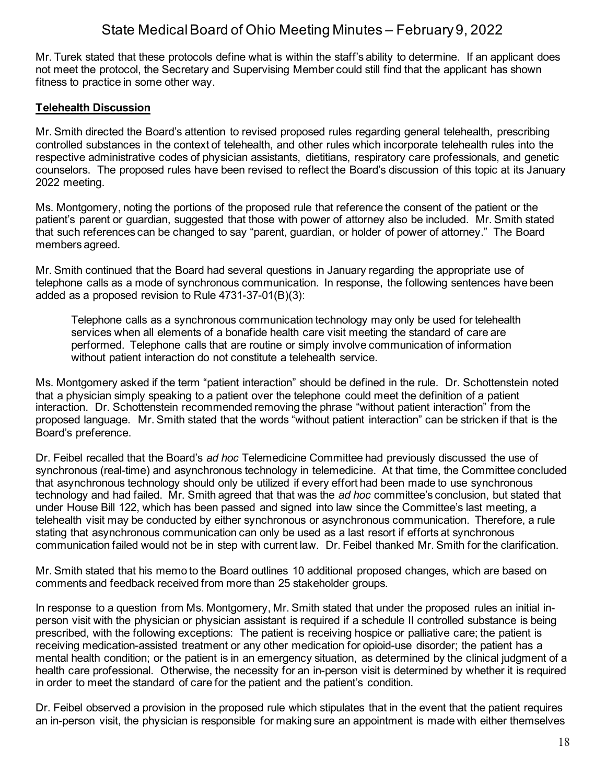Mr. Turek stated that these protocols define what is within the staff's ability to determine. If an applicant does not meet the protocol, the Secretary and Supervising Member could still find that the applicant has shown fitness to practice in some other way.

### **Telehealth Discussion**

Mr. Smith directed the Board's attention to revised proposed rules regarding general telehealth, prescribing controlled substances in the context of telehealth, and other rules which incorporate telehealth rules into the respective administrative codes of physician assistants, dietitians, respiratory care professionals, and genetic counselors. The proposed rules have been revised to reflect the Board's discussion of this topic at its January 2022 meeting.

Ms. Montgomery, noting the portions of the proposed rule that reference the consent of the patient or the patient's parent or guardian, suggested that those with power of attorney also be included. Mr. Smith stated that such references can be changed to say "parent, guardian, or holder of power of attorney." The Board members agreed.

Mr. Smith continued that the Board had several questions in January regarding the appropriate use of telephone calls as a mode of synchronous communication. In response, the following sentences have been added as a proposed revision to Rule 4731-37-01(B)(3):

Telephone calls as a synchronous communication technology may only be used for telehealth services when all elements of a bonafide health care visit meeting the standard of care are performed. Telephone calls that are routine or simply involve communication of information without patient interaction do not constitute a telehealth service.

Ms. Montgomery asked if the term "patient interaction" should be defined in the rule. Dr. Schottenstein noted that a physician simply speaking to a patient over the telephone could meet the definition of a patient interaction. Dr. Schottenstein recommended removing the phrase "without patient interaction" from the proposed language. Mr. Smith stated that the words "without patient interaction" can be stricken if that is the Board's preference.

Dr. Feibel recalled that the Board's *ad hoc* Telemedicine Committee had previously discussed the use of synchronous (real-time) and asynchronous technology in telemedicine. At that time, the Committee concluded that asynchronous technology should only be utilized if every effort had been made to use synchronous technology and had failed. Mr. Smith agreed that that was the *ad hoc* committee's conclusion, but stated that under House Bill 122, which has been passed and signed into law since the Committee's last meeting, a telehealth visit may be conducted by either synchronous or asynchronous communication. Therefore, a rule stating that asynchronous communication can only be used as a last resort if efforts at synchronous communication failed would not be in step with current law. Dr. Feibel thanked Mr. Smith for the clarification.

Mr. Smith stated that his memo to the Board outlines 10 additional proposed changes, which are based on comments and feedback received from more than 25 stakeholder groups.

In response to a question from Ms. Montgomery, Mr. Smith stated that under the proposed rules an initial inperson visit with the physician or physician assistant is required if a schedule II controlled substance is being prescribed, with the following exceptions: The patient is receiving hospice or palliative care; the patient is receiving medication-assisted treatment or any other medication for opioid-use disorder; the patient has a mental health condition; or the patient is in an emergency situation, as determined by the clinical judgment of a health care professional. Otherwise, the necessity for an in-person visit is determined by whether it is required in order to meet the standard of care for the patient and the patient's condition.

Dr. Feibel observed a provision in the proposed rule which stipulates that in the event that the patient requires an in-person visit, the physician is responsible for making sure an appointment is made with either themselves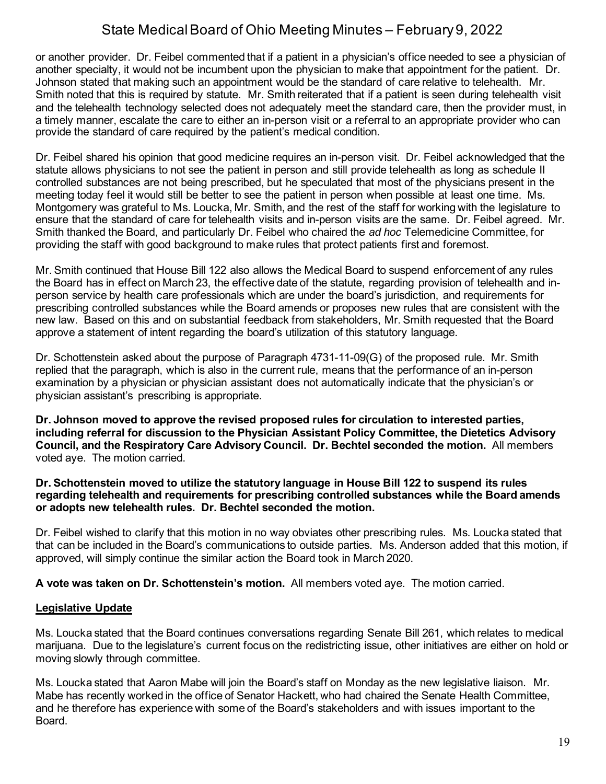or another provider. Dr. Feibel commented that if a patient in a physician's office needed to see a physician of another specialty, it would not be incumbent upon the physician to make that appointment for the patient. Dr. Johnson stated that making such an appointment would be the standard of care relative to telehealth. Mr. Smith noted that this is required by statute. Mr. Smith reiterated that if a patient is seen during telehealth visit and the telehealth technology selected does not adequately meet the standard care, then the provider must, in a timely manner, escalate the care to either an in-person visit or a referral to an appropriate provider who can provide the standard of care required by the patient's medical condition.

Dr. Feibel shared his opinion that good medicine requires an in-person visit. Dr. Feibel acknowledged that the statute allows physicians to not see the patient in person and still provide telehealth as long as schedule II controlled substances are not being prescribed, but he speculated that most of the physicians present in the meeting today feel it would still be better to see the patient in person when possible at least one time. Ms. Montgomery was grateful to Ms. Loucka, Mr. Smith, and the rest of the staff for working with the legislature to ensure that the standard of care for telehealth visits and in-person visits are the same. Dr. Feibel agreed. Mr. Smith thanked the Board, and particularly Dr. Feibel who chaired the *ad hoc* Telemedicine Committee, for providing the staff with good background to make rules that protect patients first and foremost.

Mr. Smith continued that House Bill 122 also allows the Medical Board to suspend enforcement of any rules the Board has in effect on March 23, the effective date of the statute, regarding provision of telehealth and inperson service by health care professionals which are under the board's jurisdiction, and requirements for prescribing controlled substances while the Board amends or proposes new rules that are consistent with the new law. Based on this and on substantial feedback from stakeholders, Mr. Smith requested that the Board approve a statement of intent regarding the board's utilization of this statutory language.

Dr. Schottenstein asked about the purpose of Paragraph 4731-11-09(G) of the proposed rule. Mr. Smith replied that the paragraph, which is also in the current rule, means that the performance of an in-person examination by a physician or physician assistant does not automatically indicate that the physician's or physician assistant's prescribing is appropriate.

**Dr. Johnson moved to approve the revised proposed rules for circulation to interested parties, including referral for discussion to the Physician Assistant Policy Committee, the Dietetics Advisory Council, and the Respiratory Care Advisory Council. Dr. Bechtel seconded the motion.** All members voted aye. The motion carried.

**Dr. Schottenstein moved to utilize the statutory language in House Bill 122 to suspend its rules regarding telehealth and requirements for prescribing controlled substances while the Board amends or adopts new telehealth rules. Dr. Bechtel seconded the motion.**

Dr. Feibel wished to clarify that this motion in no way obviates other prescribing rules. Ms. Loucka stated that that can be included in the Board's communications to outside parties. Ms. Anderson added that this motion, if approved, will simply continue the similar action the Board took in March 2020.

**A vote was taken on Dr. Schottenstein's motion.** All members voted aye. The motion carried.

### **Legislative Update**

Ms. Loucka stated that the Board continues conversations regarding Senate Bill 261, which relates to medical marijuana. Due to the legislature's current focus on the redistricting issue, other initiatives are either on hold or moving slowly through committee.

Ms. Loucka stated that Aaron Mabe will join the Board's staff on Monday as the new legislative liaison. Mr. Mabe has recently worked in the office of Senator Hackett, who had chaired the Senate Health Committee, and he therefore has experience with some of the Board's stakeholders and with issues important to the Board.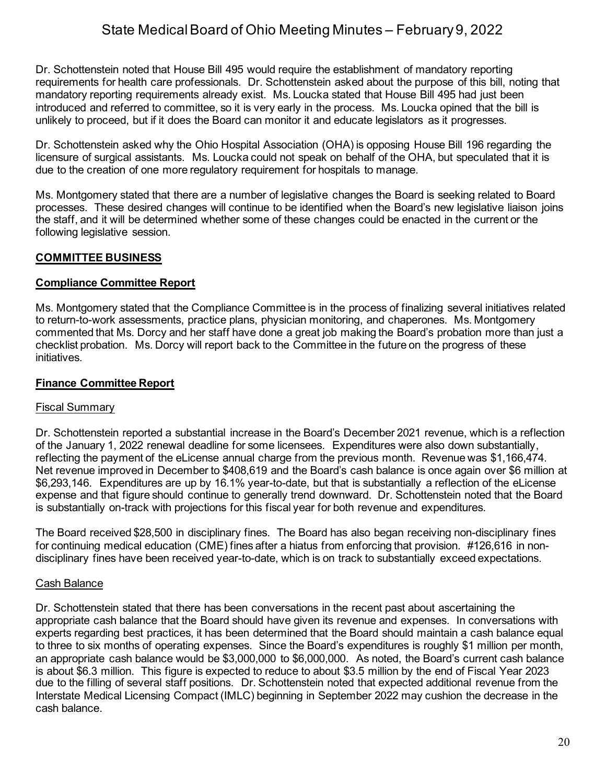Dr. Schottenstein noted that House Bill 495 would require the establishment of mandatory reporting requirements for health care professionals. Dr. Schottenstein asked about the purpose of this bill, noting that mandatory reporting requirements already exist. Ms. Loucka stated that House Bill 495 had just been introduced and referred to committee, so it is very early in the process. Ms. Loucka opined that the bill is unlikely to proceed, but if it does the Board can monitor it and educate legislators as it progresses.

Dr. Schottenstein asked why the Ohio Hospital Association (OHA) is opposing House Bill 196 regarding the licensure of surgical assistants. Ms. Loucka could not speak on behalf of the OHA, but speculated that it is due to the creation of one more regulatory requirement for hospitals to manage.

Ms. Montgomery stated that there are a number of legislative changes the Board is seeking related to Board processes. These desired changes will continue to be identified when the Board's new legislative liaison joins the staff, and it will be determined whether some of these changes could be enacted in the current or the following legislative session.

# **COMMITTEE BUSINESS**

## **Compliance Committee Report**

Ms. Montgomery stated that the Compliance Committee is in the process of finalizing several initiatives related to return-to-work assessments, practice plans, physician monitoring, and chaperones. Ms. Montgomery commented that Ms. Dorcy and her staff have done a great job making the Board's probation more than just a checklist probation. Ms. Dorcy will report back to the Committee in the future on the progress of these initiatives.

## **Finance Committee Report**

### Fiscal Summary

Dr. Schottenstein reported a substantial increase in the Board's December 2021 revenue, which is a reflection of the January 1, 2022 renewal deadline for some licensees. Expenditures were also down substantially, reflecting the payment of the eLicense annual charge from the previous month. Revenue was \$1,166,474. Net revenue improved in December to \$408,619 and the Board's cash balance is once again over \$6 million at \$6,293,146. Expenditures are up by 16.1% year-to-date, but that is substantially a reflection of the eLicense expense and that figure should continue to generally trend downward. Dr. Schottenstein noted that the Board is substantially on-track with projections for this fiscal year for both revenue and expenditures.

The Board received \$28,500 in disciplinary fines. The Board has also began receiving non-disciplinary fines for continuing medical education (CME) fines after a hiatus from enforcing that provision. #126,616 in nondisciplinary fines have been received year-to-date, which is on track to substantially exceed expectations.

## Cash Balance

Dr. Schottenstein stated that there has been conversations in the recent past about ascertaining the appropriate cash balance that the Board should have given its revenue and expenses. In conversations with experts regarding best practices, it has been determined that the Board should maintain a cash balance equal to three to six months of operating expenses. Since the Board's expenditures is roughly \$1 million per month, an appropriate cash balance would be \$3,000,000 to \$6,000,000. As noted, the Board's current cash balance is about \$6.3 million. This figure is expected to reduce to about \$3.5 million by the end of Fiscal Year 2023 due to the filling of several staff positions. Dr. Schottenstein noted that expected additional revenue from the Interstate Medical Licensing Compact (IMLC) beginning in September 2022 may cushion the decrease in the cash balance.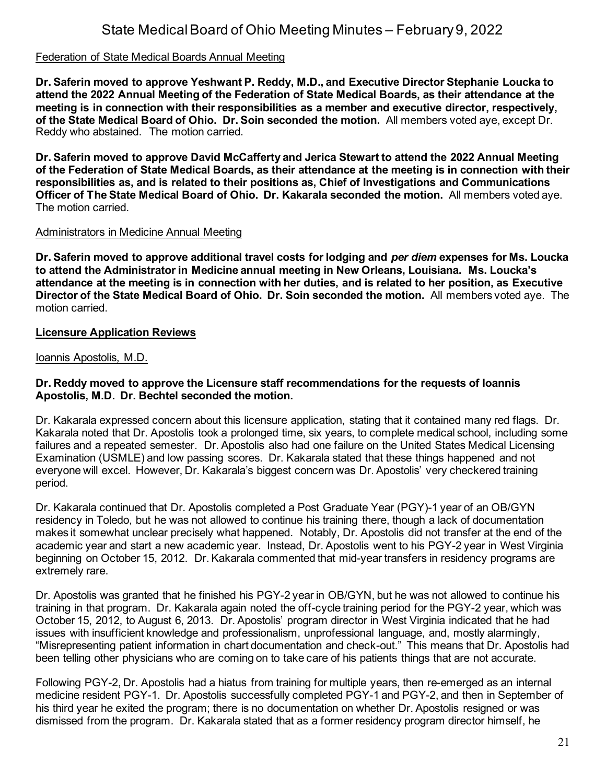#### Federation of State Medical Boards Annual Meeting

**Dr. Saferin moved to approve Yeshwant P. Reddy, M.D., and Executive Director Stephanie Loucka to attend the 2022 Annual Meeting of the Federation of State Medical Boards, as their attendance at the meeting is in connection with their responsibilities as a member and executive director, respectively, of the State Medical Board of Ohio. Dr. Soin seconded the motion.** All members voted aye, except Dr. Reddy who abstained. The motion carried.

**Dr. Saferin moved to approve David McCafferty and Jerica Stewart to attend the 2022 Annual Meeting of the Federation of State Medical Boards, as their attendance at the meeting is in connection with their responsibilities as, and is related to their positions as, Chief of Investigations and Communications Officer of The State Medical Board of Ohio. Dr. Kakarala seconded the motion.** All members voted aye. The motion carried.

#### Administrators in Medicine Annual Meeting

**Dr. Saferin moved to approve additional travel costs for lodging and** *per diem* **expenses for Ms. Loucka to attend the Administrator in Medicine annual meeting in New Orleans, Louisiana. Ms. Loucka's attendance at the meeting is in connection with her duties, and is related to her position, as Executive Director of the State Medical Board of Ohio. Dr. Soin seconded the motion.** All members voted aye. The motion carried.

#### **Licensure Application Reviews**

Ioannis Apostolis, M.D.

#### **Dr. Reddy moved to approve the Licensure staff recommendations for the requests of Ioannis Apostolis, M.D. Dr. Bechtel seconded the motion.**

Dr. Kakarala expressed concern about this licensure application, stating that it contained many red flags. Dr. Kakarala noted that Dr. Apostolis took a prolonged time, six years, to complete medical school, including some failures and a repeated semester. Dr. Apostolis also had one failure on the United States Medical Licensing Examination (USMLE) and low passing scores. Dr. Kakarala stated that these things happened and not everyone will excel. However, Dr. Kakarala's biggest concern was Dr. Apostolis' very checkered training period.

Dr. Kakarala continued that Dr. Apostolis completed a Post Graduate Year (PGY)-1 year of an OB/GYN residency in Toledo, but he was not allowed to continue his training there, though a lack of documentation makes it somewhat unclear precisely what happened. Notably, Dr. Apostolis did not transfer at the end of the academic year and start a new academic year. Instead, Dr. Apostolis went to his PGY-2 year in West Virginia beginning on October 15, 2012. Dr. Kakarala commented that mid-year transfers in residency programs are extremely rare.

Dr. Apostolis was granted that he finished his PGY-2 year in OB/GYN, but he was not allowed to continue his training in that program. Dr. Kakarala again noted the off-cycle training period for the PGY-2 year, which was October 15, 2012, to August 6, 2013. Dr. Apostolis' program director in West Virginia indicated that he had issues with insufficient knowledge and professionalism, unprofessional language, and, mostly alarmingly, "Misrepresenting patient information in chart documentation and check-out." This means that Dr. Apostolis had been telling other physicians who are coming on to take care of his patients things that are not accurate.

Following PGY-2, Dr. Apostolis had a hiatus from training for multiple years, then re-emerged as an internal medicine resident PGY-1. Dr. Apostolis successfully completed PGY-1 and PGY-2, and then in September of his third year he exited the program; there is no documentation on whether Dr. Apostolis resigned or was dismissed from the program. Dr. Kakarala stated that as a former residency program director himself, he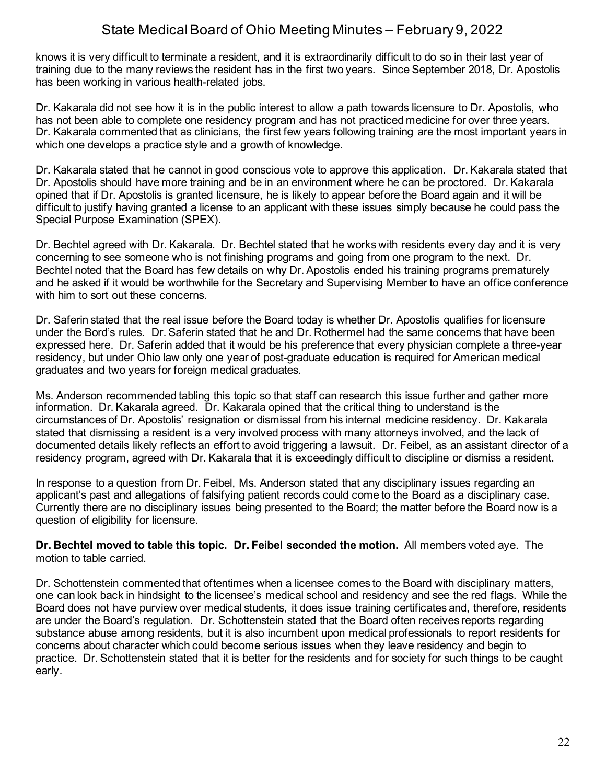knows it is very difficult to terminate a resident, and it is extraordinarily difficult to do so in their last year of training due to the many reviews the resident has in the first two years. Since September 2018, Dr. Apostolis has been working in various health-related jobs.

Dr. Kakarala did not see how it is in the public interest to allow a path towards licensure to Dr. Apostolis, who has not been able to complete one residency program and has not practiced medicine for over three years. Dr. Kakarala commented that as clinicians, the first few years following training are the most important years in which one develops a practice style and a growth of knowledge.

Dr. Kakarala stated that he cannot in good conscious vote to approve this application. Dr. Kakarala stated that Dr. Apostolis should have more training and be in an environment where he can be proctored. Dr. Kakarala opined that if Dr. Apostolis is granted licensure, he is likely to appear before the Board again and it will be difficult to justify having granted a license to an applicant with these issues simply because he could pass the Special Purpose Examination (SPEX).

Dr. Bechtel agreed with Dr. Kakarala. Dr. Bechtel stated that he works with residents every day and it is very concerning to see someone who is not finishing programs and going from one program to the next. Dr. Bechtel noted that the Board has few details on why Dr. Apostolis ended his training programs prematurely and he asked if it would be worthwhile for the Secretary and Supervising Member to have an office conference with him to sort out these concerns.

Dr. Saferin stated that the real issue before the Board today is whether Dr. Apostolis qualifies for licensure under the Bord's rules. Dr. Saferin stated that he and Dr. Rothermel had the same concerns that have been expressed here. Dr. Saferin added that it would be his preference that every physician complete a three-year residency, but under Ohio law only one year of post-graduate education is required for American medical graduates and two years for foreign medical graduates.

Ms. Anderson recommended tabling this topic so that staff can research this issue further and gather more information. Dr. Kakarala agreed. Dr. Kakarala opined that the critical thing to understand is the circumstances of Dr. Apostolis' resignation or dismissal from his internal medicine residency. Dr. Kakarala stated that dismissing a resident is a very involved process with many attorneys involved, and the lack of documented details likely reflects an effort to avoid triggering a lawsuit. Dr. Feibel, as an assistant director of a residency program, agreed with Dr. Kakarala that it is exceedingly difficult to discipline or dismiss a resident.

In response to a question from Dr. Feibel, Ms. Anderson stated that any disciplinary issues regarding an applicant's past and allegations of falsifying patient records could come to the Board as a disciplinary case. Currently there are no disciplinary issues being presented to the Board; the matter before the Board now is a question of eligibility for licensure.

**Dr. Bechtel moved to table this topic. Dr. Feibel seconded the motion.** All members voted aye. The motion to table carried.

Dr. Schottenstein commented that oftentimes when a licensee comes to the Board with disciplinary matters, one can look back in hindsight to the licensee's medical school and residency and see the red flags. While the Board does not have purview over medical students, it does issue training certificates and, therefore, residents are under the Board's regulation. Dr. Schottenstein stated that the Board often receives reports regarding substance abuse among residents, but it is also incumbent upon medical professionals to report residents for concerns about character which could become serious issues when they leave residency and begin to practice. Dr. Schottenstein stated that it is better for the residents and for society for such things to be caught early.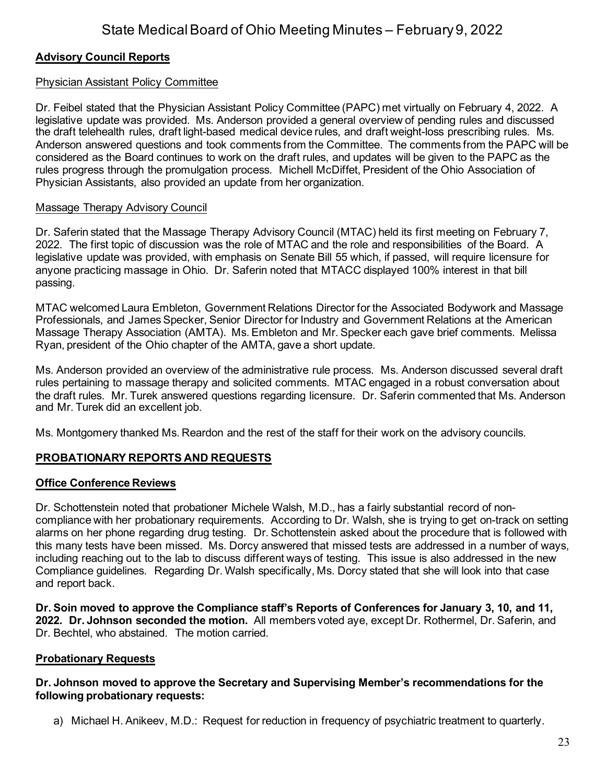## **Advisory Council Reports**

### Physician Assistant Policy Committee

Dr. Feibel stated that the Physician Assistant Policy Committee (PAPC) met virtually on February 4, 2022. A legislative update was provided. Ms. Anderson provided a general overview of pending rules and discussed the draft telehealth rules, draft light-based medical device rules, and draft weight-loss prescribing rules. Ms. Anderson answered questions and took comments from the Committee. The comments from the PAPC will be considered as the Board continues to work on the draft rules, and updates will be given to the PAPC as the rules progress through the promulgation process. Michell McDiffet, President of the Ohio Association of Physician Assistants, also provided an update from her organization.

## Massage Therapy Advisory Council

Dr. Saferin stated that the Massage Therapy Advisory Council (MTAC) held its first meeting on February 7, 2022. The first topic of discussion was the role of MTAC and the role and responsibilities of the Board. A legislative update was provided, with emphasis on Senate Bill 55 which, if passed, will require licensure for anyone practicing massage in Ohio. Dr. Saferin noted that MTACC displayed 100% interest in that bill passing.

MTAC welcomed Laura Embleton, Government Relations Director for the Associated Bodywork and Massage Professionals, and James Specker, Senior Director for Industry and Government Relations at the American Massage Therapy Association (AMTA). Ms. Embleton and Mr. Specker each gave brief comments. Melissa Ryan, president of the Ohio chapter of the AMTA, gave a short update.

Ms. Anderson provided an overview of the administrative rule process. Ms. Anderson discussed several draft rules pertaining to massage therapy and solicited comments. MTAC engaged in a robust conversation about the draft rules. Mr. Turek answered questions regarding licensure. Dr. Saferin commented that Ms. Anderson and Mr. Turek did an excellent job.

Ms. Montgomery thanked Ms. Reardon and the rest of the staff for their work on the advisory councils.

## **PROBATIONARY REPORTS AND REQUESTS**

## **Office Conference Reviews**

Dr. Schottenstein noted that probationer Michele Walsh, M.D., has a fairly substantial record of noncompliance with her probationary requirements. According to Dr. Walsh, she is trying to get on-track on setting alarms on her phone regarding drug testing. Dr. Schottenstein asked about the procedure that is followed with this many tests have been missed. Ms. Dorcy answered that missed tests are addressed in a number of ways, including reaching out to the lab to discuss different ways of testing. This issue is also addressed in the new Compliance guidelines. Regarding Dr. Walsh specifically, Ms. Dorcy stated that she will look into that case and report back.

**Dr. Soin moved to approve the Compliance staff's Reports of Conferences for January 3, 10, and 11, 2022. Dr. Johnson seconded the motion.** All members voted aye, except Dr. Rothermel, Dr. Saferin, and Dr. Bechtel, who abstained. The motion carried.

### **Probationary Requests**

#### **Dr. Johnson moved to approve the Secretary and Supervising Member's recommendations for the following probationary requests:**

a) Michael H. Anikeev, M.D.: Request for reduction in frequency of psychiatric treatment to quarterly.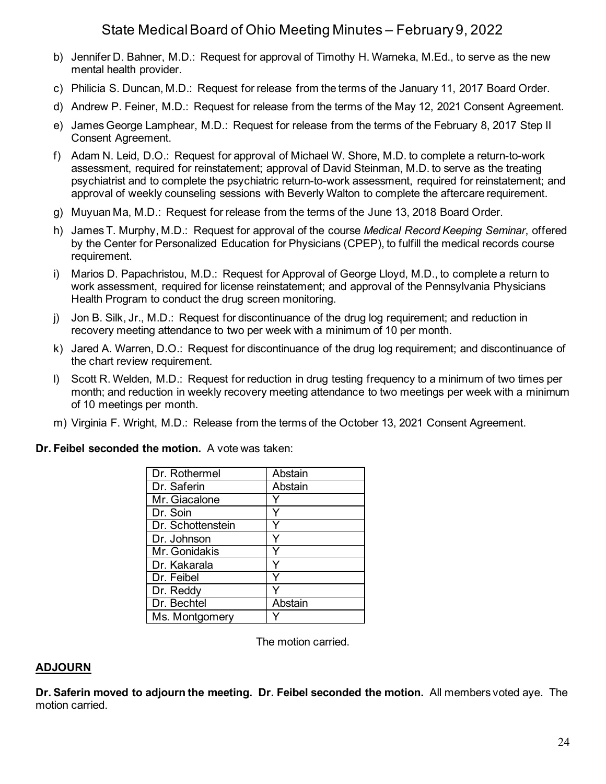- b) Jennifer D. Bahner, M.D.: Request for approval of Timothy H. Warneka, M.Ed., to serve as the new mental health provider.
- c) Philicia S. Duncan, M.D.: Request for release from the terms of the January 11, 2017 Board Order.
- d) Andrew P. Feiner, M.D.: Request for release from the terms of the May 12, 2021 Consent Agreement.
- e) James George Lamphear, M.D.: Request for release from the terms of the February 8, 2017 Step II Consent Agreement.
- f) Adam N. Leid, D.O.: Request for approval of Michael W. Shore, M.D. to complete a return-to-work assessment, required for reinstatement; approval of David Steinman, M.D. to serve as the treating psychiatrist and to complete the psychiatric return-to-work assessment, required for reinstatement; and approval of weekly counseling sessions with Beverly Walton to complete the aftercare requirement.
- g) Muyuan Ma, M.D.: Request for release from the terms of the June 13, 2018 Board Order.
- h) James T. Murphy, M.D.: Request for approval of the course *Medical Record Keeping Seminar*, offered by the Center for Personalized Education for Physicians (CPEP), to fulfill the medical records course requirement.
- i) Marios D. Papachristou, M.D.: Request for Approval of George Lloyd, M.D., to complete a return to work assessment, required for license reinstatement; and approval of the Pennsylvania Physicians Health Program to conduct the drug screen monitoring.
- j) Jon B. Silk, Jr., M.D.: Request for discontinuance of the drug log requirement; and reduction in recovery meeting attendance to two per week with a minimum of 10 per month.
- k) Jared A. Warren, D.O.: Request for discontinuance of the drug log requirement; and discontinuance of the chart review requirement.
- l) Scott R. Welden, M.D.: Request for reduction in drug testing frequency to a minimum of two times per month; and reduction in weekly recovery meeting attendance to two meetings per week with a minimum of 10 meetings per month.
- m) Virginia F. Wright, M.D.: Release from the terms of the October 13, 2021 Consent Agreement.

### **Dr. Feibel seconded the motion.** A vote was taken:

| Dr. Rothermel     | Abstain |
|-------------------|---------|
| Dr. Saferin       | Abstain |
| Mr. Giacalone     |         |
| Dr. Soin          |         |
| Dr. Schottenstein |         |
| Dr. Johnson       |         |
| Mr. Gonidakis     |         |
| Dr. Kakarala      |         |
| Dr. Feibel        |         |
| Dr. Reddy         |         |
| Dr. Bechtel       | Abstain |
| Ms. Montgomery    |         |

The motion carried.

### **ADJOURN**

**Dr. Saferin moved to adjourn the meeting. Dr. Feibel seconded the motion.** All members voted aye. The motion carried.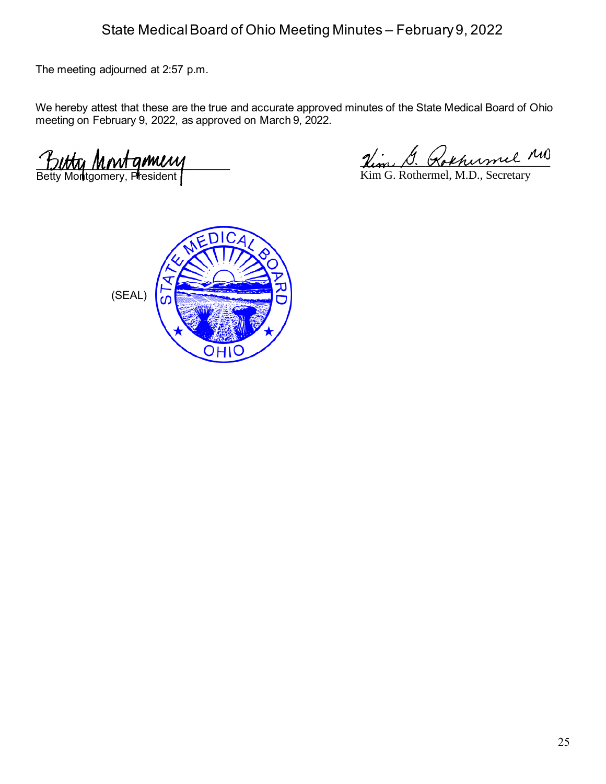The meeting adjourned at 2:57 p.m.

We hereby attest that these are the true and accurate approved minutes of the State Medical Board of Ohio meeting on February 9, 2022, as approved on March 9, 2022.

 $L$ Betty Montgomery, President

Hem P. Kokhenmel

Kim G. Rothermel, M.D., Secretary

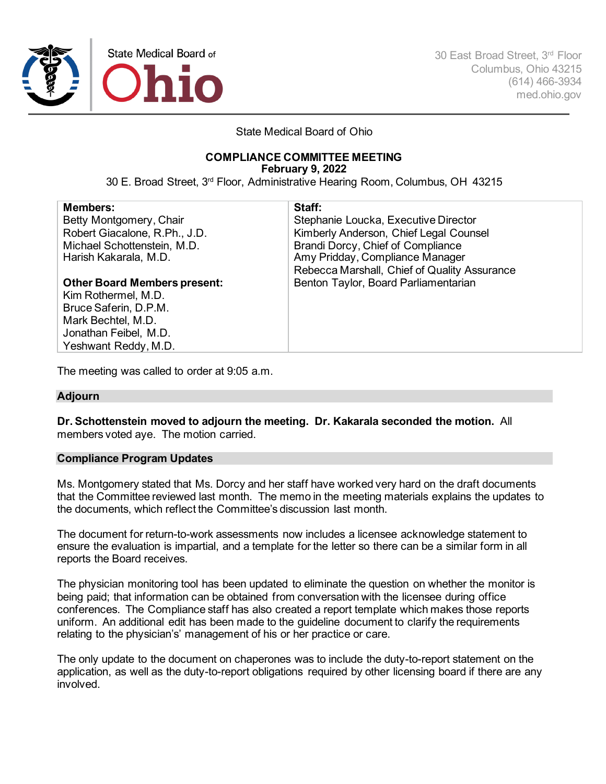

30 East Broad Street, 3rd Floor Columbus, Ohio 43215 (614) 466-3934 med.ohio.gov

State Medical Board of Ohio

# **COMPLIANCE COMMITTEE MEETING**

**February 9, 2022**

30 E. Broad Street, 3rd Floor, Administrative Hearing Room, Columbus, OH 43215

| <b>Members:</b>                     | Staff:                                       |
|-------------------------------------|----------------------------------------------|
| Betty Montgomery, Chair             | Stephanie Loucka, Executive Director         |
| Robert Giacalone, R.Ph., J.D.       | Kimberly Anderson, Chief Legal Counsel       |
| Michael Schottenstein, M.D.         | Brandi Dorcy, Chief of Compliance            |
| Harish Kakarala, M.D.               | Amy Pridday, Compliance Manager              |
|                                     | Rebecca Marshall, Chief of Quality Assurance |
| <b>Other Board Members present:</b> | Benton Taylor, Board Parliamentarian         |
| Kim Rothermel, M.D.                 |                                              |
| Bruce Saferin, D.P.M.               |                                              |
| Mark Bechtel, M.D.                  |                                              |
| Jonathan Feibel, M.D.               |                                              |
| Yeshwant Reddy, M.D.                |                                              |

The meeting was called to order at 9:05 a.m.

#### **Adjourn**

**Dr. Schottenstein moved to adjourn the meeting. Dr. Kakarala seconded the motion.** All members voted aye. The motion carried.

#### **Compliance Program Updates**

Ms. Montgomery stated that Ms. Dorcy and her staff have worked very hard on the draft documents that the Committee reviewed last month. The memo in the meeting materials explains the updates to the documents, which reflect the Committee's discussion last month.

The document for return-to-work assessments now includes a licensee acknowledge statement to ensure the evaluation is impartial, and a template for the letter so there can be a similar form in all reports the Board receives.

The physician monitoring tool has been updated to eliminate the question on whether the monitor is being paid; that information can be obtained from conversation with the licensee during office conferences. The Compliance staff has also created a report template which makes those reports uniform. An additional edit has been made to the guideline document to clarify the requirements relating to the physician's' management of his or her practice or care.

The only update to the document on chaperones was to include the duty-to-report statement on the application, as well as the duty-to-report obligations required by other licensing board if there are any involved.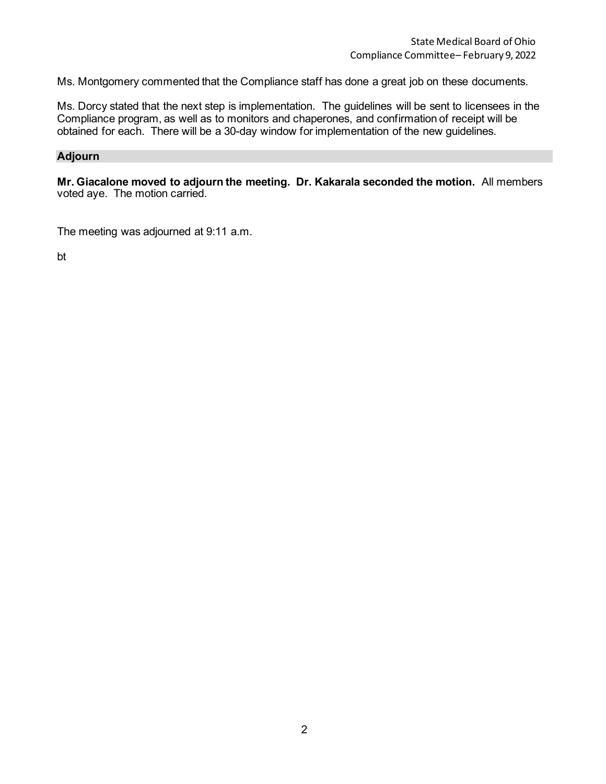Ms. Montgomery commented that the Compliance staff has done a great job on these documents.

Ms. Dorcy stated that the next step is implementation. The guidelines will be sent to licensees in the Compliance program, as well as to monitors and chaperones, and confirmation of receipt will be obtained for each. There will be a 30-day window for implementation of the new guidelines.

#### **Adjourn**

**Mr. Giacalone moved to adjourn the meeting. Dr. Kakarala seconded the motion.** All members voted aye. The motion carried.

The meeting was adjourned at 9:11 a.m.

bt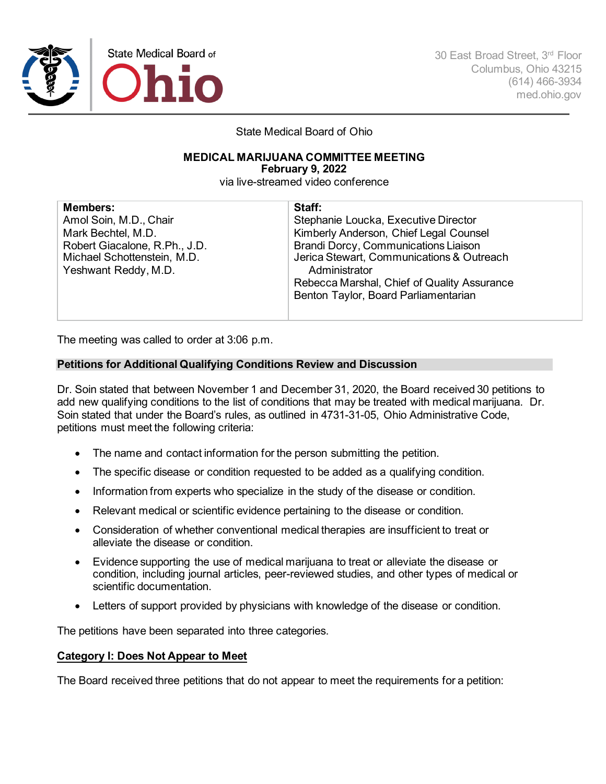

30 East Broad Street, 3rd Floor Columbus, Ohio 43215 (614) 466-3934 med.ohio.gov

State Medical Board of Ohio

#### **MEDICAL MARIJUANA COMMITTEE MEETING**

**February 9, 2022**

via live-streamed video conference

| <b>Members:</b>                                                                      | Staff:                                                                                                                                                                                    |
|--------------------------------------------------------------------------------------|-------------------------------------------------------------------------------------------------------------------------------------------------------------------------------------------|
| Amol Soin, M.D., Chair                                                               | Stephanie Loucka, Executive Director                                                                                                                                                      |
| Mark Bechtel, M.D.                                                                   | Kimberly Anderson, Chief Legal Counsel                                                                                                                                                    |
| Robert Giacalone, R.Ph., J.D.<br>Michael Schottenstein, M.D.<br>Yeshwant Reddy, M.D. | Brandi Dorcy, Communications Liaison<br>Jerica Stewart, Communications & Outreach<br>Administrator<br>Rebecca Marshal, Chief of Quality Assurance<br>Benton Taylor, Board Parliamentarian |
|                                                                                      |                                                                                                                                                                                           |

The meeting was called to order at 3:06 p.m.

#### **Petitions for Additional Qualifying Conditions Review and Discussion**

Dr. Soin stated that between November 1 and December 31, 2020, the Board received 30 petitions to add new qualifying conditions to the list of conditions that may be treated with medical marijuana. Dr. Soin stated that under the Board's rules, as outlined in 4731-31-05, Ohio Administrative Code, petitions must meet the following criteria:

- The name and contact information for the person submitting the petition.
- The specific disease or condition requested to be added as a qualifying condition.
- Information from experts who specialize in the study of the disease or condition.
- Relevant medical or scientific evidence pertaining to the disease or condition.
- Consideration of whether conventional medical therapies are insufficient to treat or alleviate the disease or condition.
- Evidence supporting the use of medical marijuana to treat or alleviate the disease or condition, including journal articles, peer-reviewed studies, and other types of medical or scientific documentation.
- Letters of support provided by physicians with knowledge of the disease or condition.

The petitions have been separated into three categories.

#### **Category I: Does Not Appear to Meet**

The Board received three petitions that do not appear to meet the requirements for a petition: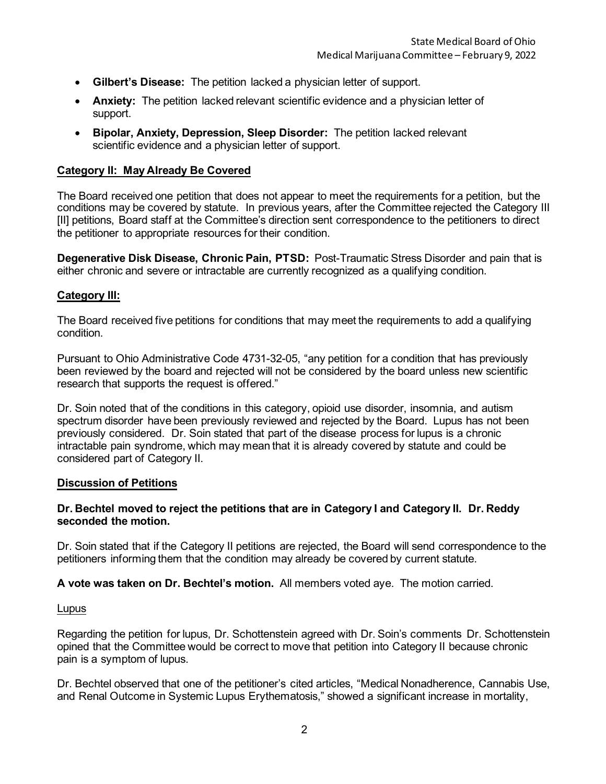- **Gilbert's Disease:** The petition lacked a physician letter of support.
- **Anxiety:** The petition lacked relevant scientific evidence and a physician letter of support.
- **Bipolar, Anxiety, Depression, Sleep Disorder:** The petition lacked relevant scientific evidence and a physician letter of support.

#### **Category II: May Already Be Covered**

The Board received one petition that does not appear to meet the requirements for a petition, but the conditions may be covered by statute. In previous years, after the Committee rejected the Category III [II] petitions, Board staff at the Committee's direction sent correspondence to the petitioners to direct the petitioner to appropriate resources for their condition.

**Degenerative Disk Disease, Chronic Pain, PTSD:** Post-Traumatic Stress Disorder and pain that is either chronic and severe or intractable are currently recognized as a qualifying condition.

#### **Category III:**

The Board received five petitions for conditions that may meet the requirements to add a qualifying condition.

Pursuant to Ohio Administrative Code 4731-32-05, "any petition for a condition that has previously been reviewed by the board and rejected will not be considered by the board unless new scientific research that supports the request is offered."

Dr. Soin noted that of the conditions in this category, opioid use disorder, insomnia, and autism spectrum disorder have been previously reviewed and rejected by the Board. Lupus has not been previously considered. Dr. Soin stated that part of the disease process for lupus is a chronic intractable pain syndrome, which may mean that it is already covered by statute and could be considered part of Category II.

#### **Discussion of Petitions**

#### **Dr. Bechtel moved to reject the petitions that are in Category I and Category II. Dr. Reddy seconded the motion.**

Dr. Soin stated that if the Category II petitions are rejected, the Board will send correspondence to the petitioners informing them that the condition may already be covered by current statute.

**A vote was taken on Dr. Bechtel's motion.** All members voted aye. The motion carried.

#### Lupus

Regarding the petition for lupus, Dr. Schottenstein agreed with Dr. Soin's comments Dr. Schottenstein opined that the Committee would be correct to move that petition into Category II because chronic pain is a symptom of lupus.

Dr. Bechtel observed that one of the petitioner's cited articles, "Medical Nonadherence, Cannabis Use, and Renal Outcome in Systemic Lupus Erythematosis," showed a significant increase in mortality,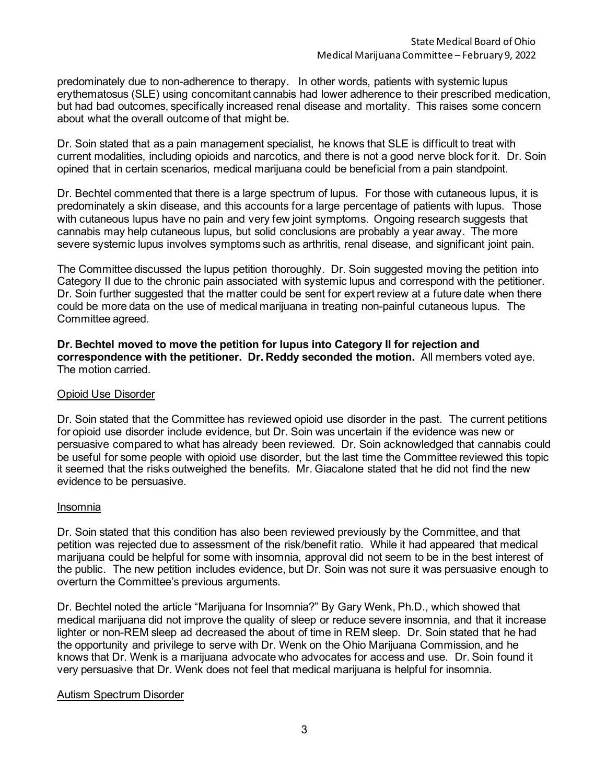predominately due to non-adherence to therapy. In other words, patients with systemic lupus erythematosus (SLE) using concomitant cannabis had lower adherence to their prescribed medication, but had bad outcomes, specifically increased renal disease and mortality. This raises some concern about what the overall outcome of that might be.

Dr. Soin stated that as a pain management specialist, he knows that SLE is difficult to treat with current modalities, including opioids and narcotics, and there is not a good nerve block for it. Dr. Soin opined that in certain scenarios, medical marijuana could be beneficial from a pain standpoint.

Dr. Bechtel commented that there is a large spectrum of lupus. For those with cutaneous lupus, it is predominately a skin disease, and this accounts for a large percentage of patients with lupus. Those with cutaneous lupus have no pain and very few joint symptoms. Ongoing research suggests that cannabis may help cutaneous lupus, but solid conclusions are probably a year away. The more severe systemic lupus involves symptoms such as arthritis, renal disease, and significant joint pain.

The Committee discussed the lupus petition thoroughly. Dr. Soin suggested moving the petition into Category II due to the chronic pain associated with systemic lupus and correspond with the petitioner. Dr. Soin further suggested that the matter could be sent for expert review at a future date when there could be more data on the use of medical marijuana in treating non-painful cutaneous lupus. The Committee agreed.

**Dr. Bechtel moved to move the petition for lupus into Category II for rejection and correspondence with the petitioner. Dr. Reddy seconded the motion.** All members voted aye. The motion carried.

#### Opioid Use Disorder

Dr. Soin stated that the Committee has reviewed opioid use disorder in the past. The current petitions for opioid use disorder include evidence, but Dr. Soin was uncertain if the evidence was new or persuasive compared to what has already been reviewed. Dr. Soin acknowledged that cannabis could be useful for some people with opioid use disorder, but the last time the Committee reviewed this topic it seemed that the risks outweighed the benefits. Mr. Giacalone stated that he did not find the new evidence to be persuasive.

#### Insomnia

Dr. Soin stated that this condition has also been reviewed previously by the Committee, and that petition was rejected due to assessment of the risk/benefit ratio. While it had appeared that medical marijuana could be helpful for some with insomnia, approval did not seem to be in the best interest of the public. The new petition includes evidence, but Dr. Soin was not sure it was persuasive enough to overturn the Committee's previous arguments.

Dr. Bechtel noted the article "Marijuana for Insomnia?" By Gary Wenk, Ph.D., which showed that medical marijuana did not improve the quality of sleep or reduce severe insomnia, and that it increase lighter or non-REM sleep ad decreased the about of time in REM sleep. Dr. Soin stated that he had the opportunity and privilege to serve with Dr. Wenk on the Ohio Marijuana Commission, and he knows that Dr. Wenk is a marijuana advocate who advocates for access and use. Dr. Soin found it very persuasive that Dr. Wenk does not feel that medical marijuana is helpful for insomnia.

#### Autism Spectrum Disorder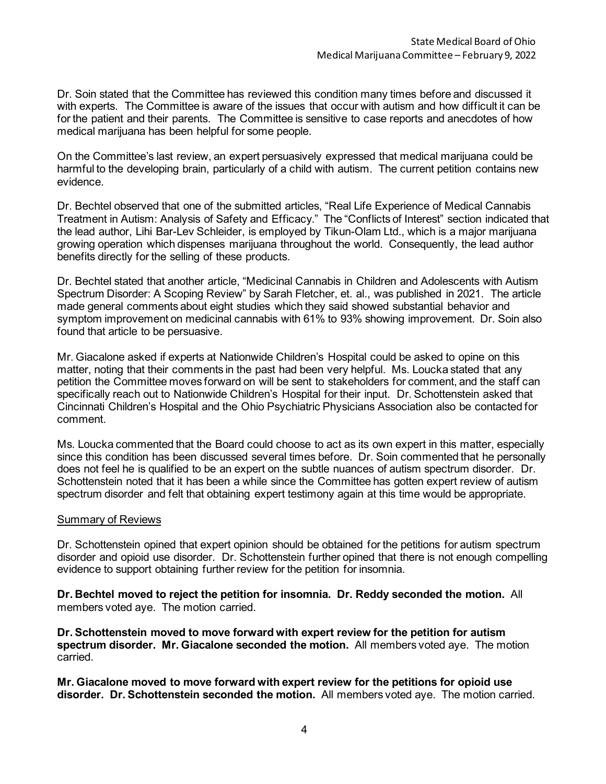Dr. Soin stated that the Committee has reviewed this condition many times before and discussed it with experts. The Committee is aware of the issues that occur with autism and how difficult it can be for the patient and their parents. The Committee is sensitive to case reports and anecdotes of how medical marijuana has been helpful for some people.

On the Committee's last review, an expert persuasively expressed that medical marijuana could be harmful to the developing brain, particularly of a child with autism. The current petition contains new evidence.

Dr. Bechtel observed that one of the submitted articles, "Real Life Experience of Medical Cannabis Treatment in Autism: Analysis of Safety and Efficacy." The "Conflicts of Interest" section indicated that the lead author, Lihi Bar-Lev Schleider, is employed by Tikun-Olam Ltd., which is a major marijuana growing operation which dispenses marijuana throughout the world. Consequently, the lead author benefits directly for the selling of these products.

Dr. Bechtel stated that another article, "Medicinal Cannabis in Children and Adolescents with Autism Spectrum Disorder: A Scoping Review" by Sarah Fletcher, et. al., was published in 2021. The article made general comments about eight studies which they said showed substantial behavior and symptom improvement on medicinal cannabis with 61% to 93% showing improvement. Dr. Soin also found that article to be persuasive.

Mr. Giacalone asked if experts at Nationwide Children's Hospital could be asked to opine on this matter, noting that their comments in the past had been very helpful. Ms. Loucka stated that any petition the Committee moves forward on will be sent to stakeholders for comment, and the staff can specifically reach out to Nationwide Children's Hospital for their input. Dr. Schottenstein asked that Cincinnati Children's Hospital and the Ohio Psychiatric Physicians Association also be contacted for comment.

Ms. Loucka commented that the Board could choose to act as its own expert in this matter, especially since this condition has been discussed several times before. Dr. Soin commented that he personally does not feel he is qualified to be an expert on the subtle nuances of autism spectrum disorder. Dr. Schottenstein noted that it has been a while since the Committee has gotten expert review of autism spectrum disorder and felt that obtaining expert testimony again at this time would be appropriate.

#### Summary of Reviews

Dr. Schottenstein opined that expert opinion should be obtained for the petitions for autism spectrum disorder and opioid use disorder. Dr. Schottenstein further opined that there is not enough compelling evidence to support obtaining further review for the petition for insomnia.

**Dr. Bechtel moved to reject the petition for insomnia. Dr. Reddy seconded the motion.** All members voted aye. The motion carried.

**Dr. Schottenstein moved to move forward with expert review for the petition for autism spectrum disorder. Mr. Giacalone seconded the motion.** All members voted aye. The motion carried.

**Mr. Giacalone moved to move forward with expert review for the petitions for opioid use disorder. Dr. Schottenstein seconded the motion.** All members voted aye. The motion carried.